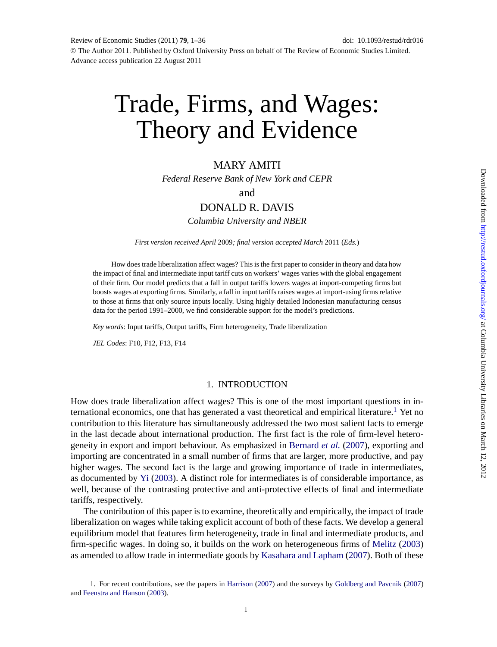# Trade, Firms, and Wages: Theory and Evidence

## MARY AMITI

*Federal Reserve Bank of New York and CEPR*

and

## DONALD R. DAVIS

*Columbia University and NBER*

*First version received April* 2009*; final version accepted March* 2011 (*Eds.*)

How does trade liberalization affect wages? This is the first paper to consider in theory and data how the impact of final and intermediate input tariff cuts on workers' wages varies with the global engagement of their firm. Our model predicts that a fall in output tariffs lowers wages at import-competing firms but boosts wages at exporting firms. Similarly, a fall in input tariffs raises wages at import-using firms relative to those at firms that only source inputs locally. Using highly detailed Indonesian manufacturing census data for the period 1991–2000, we find considerable support for the model's predictions.

*Key words*: Input tariffs, Output tariffs, Firm heterogeneity, Trade liberalization

*JEL Codes*: F10, F12, F13, F14

#### 1. INTRODUCTION

How does trade liberalization affect wages? This is one of the most important questions in international economics, one that has generated a vast theoretical and empirical literature.<sup>1</sup> Yet no contribution to this literature has simultaneously addressed the two most salient facts to emerge in the last decade about international production. The first fact is the role of firm-level heterogeneity in export and import behaviour. As emphasized in [Bernard](#page-34-0) *et al.* [\(2007](#page-34-0)), exporting and importing are concentrated in a small number of firms that are larger, more productive, and pay higher wages. The second fact is the large and growing importance of trade in intermediates, as documented by [Yi](#page-35-0) [\(2003](#page-35-0)). A distinct role for intermediates is of considerable importance, as well, because of the contrasting protective and anti-protective effects of final and intermediate tariffs, respectively.

The contribution of this paper is to examine, theoretically and empirically, the impact of trade liberalization on wages while taking explicit account of both of these facts. We develop a general equilibrium model that features firm heterogeneity, trade in final and intermediate products, and firm-specific wages. In doing so, it builds on the work on heterogeneous firms of [Melitz](#page-35-0) ([2003](#page-35-0)) as amended to allow trade in intermediate goods by [Kasahara and Lapham](#page-35-0) [\(2007](#page-35-0)). Both of these

<sup>1.</sup> For recent contributions, see the papers in [Harrison](#page-35-0) ([2007\)](#page-35-0) and the surveys by [Goldberg and Pavcnik](#page-35-0) [\(2007](#page-35-0)) and [Feenstra and Hanson](#page-34-0) [\(2003](#page-34-0)).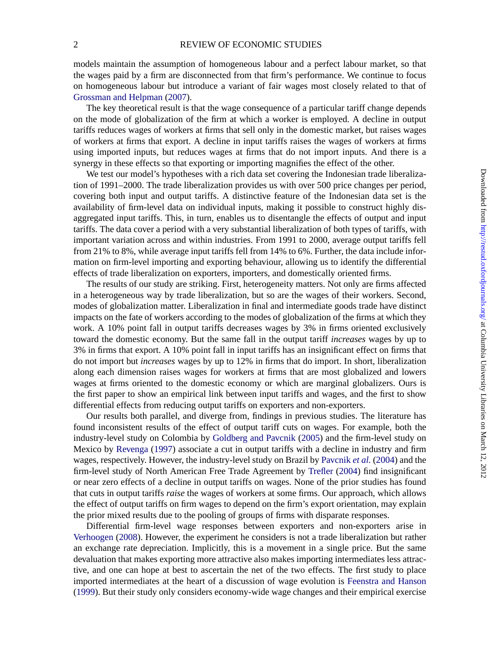models maintain the assumption of homogeneous labour and a perfect labour market, so that the wages paid by a firm are disconnected from that firm's performance. We continue to focus on homogeneous labour but introduce a variant of fair wages most closely related to that of [Grossman and Helpman](#page-35-0) [\(2007](#page-35-0)).

The key theoretical result is that the wage consequence of a particular tariff change depends on the mode of globalization of the firm at which a worker is employed. A decline in output tariffs reduces wages of workers at firms that sell only in the domestic market, but raises wages of workers at firms that export. A decline in input tariffs raises the wages of workers at firms using imported inputs, but reduces wages at firms that do not import inputs. And there is a synergy in these effects so that exporting or importing magnifies the effect of the other.

We test our model's hypotheses with a rich data set covering the Indonesian trade liberalization of 1991–2000. The trade liberalization provides us with over 500 price changes per period, covering both input and output tariffs. A distinctive feature of the Indonesian data set is the availability of firm-level data on individual inputs, making it possible to construct highly disaggregated input tariffs. This, in turn, enables us to disentangle the effects of output and input tariffs. The data cover a period with a very substantial liberalization of both types of tariffs, with important variation across and within industries. From 1991 to 2000, average output tariffs fell from 21% to 8%, while average input tariffs fell from 14% to 6%. Further, the data include information on firm-level importing and exporting behaviour, allowing us to identify the differential effects of trade liberalization on exporters, importers, and domestically oriented firms.

The results of our study are striking. First, heterogeneity matters. Not only are firms affected in a heterogeneous way by trade liberalization, but so are the wages of their workers. Second, modes of globalization matter. Liberalization in final and intermediate goods trade have distinct impacts on the fate of workers according to the modes of globalization of the firms at which they work. A 10% point fall in output tariffs decreases wages by 3% in firms oriented exclusively toward the domestic economy. But the same fall in the output tariff *increases* wages by up to 3% in firms that export. A 10% point fall in input tariffs has an insignificant effect on firms that do not import but *increases* wages by up to 12% in firms that do import. In short, liberalization along each dimension raises wages for workers at firms that are most globalized and lowers wages at firms oriented to the domestic economy or which are marginal globalizers. Ours is the first paper to show an empirical link between input tariffs and wages, and the first to show differential effects from reducing output tariffs on exporters and non-exporters.

Our results both parallel, and diverge from, findings in previous studies. The literature has found inconsistent results of the effect of output tariff cuts on wages. For example, both the industry-level study on Colombia by [Goldberg and Pavcnik](#page-35-0) [\(2005\)](#page-35-0) and the firm-level study on Mexico by [Revenga](#page-35-0) [\(1997](#page-35-0)) associate a cut in output tariffs with a decline in industry and firm wages, respectively. However, the industry-level study on Brazil by [Pavcnik](#page-35-0) *et al.* ([2004\)](#page-35-0) and the firm-level study of North American Free Trade Agreement by [Trefler](#page-35-0) ([2004\)](#page-35-0) find insignificant or near zero effects of a decline in output tariffs on wages. None of the prior studies has found that cuts in output tariffs *raise* the wages of workers at some firms. Our approach, which allows the effect of output tariffs on firm wages to depend on the firm's export orientation, may explain the prior mixed results due to the pooling of groups of firms with disparate responses.

Differential firm-level wage responses between exporters and non-exporters arise in [Verhoogen](#page-35-0) [\(2008](#page-35-0)). However, the experiment he considers is not a trade liberalization but rather an exchange rate depreciation. Implicitly, this is a movement in a single price. But the same devaluation that makes exporting more attractive also makes importing intermediates less attractive, and one can hope at best to ascertain the net of the two effects. The first study to place imported intermediates at the heart of a discussion of wage evolution is [Feenstra and Hanson](#page-34-0) [\(1999](#page-34-0)). But their study only considers economy-wide wage changes and their empirical exercise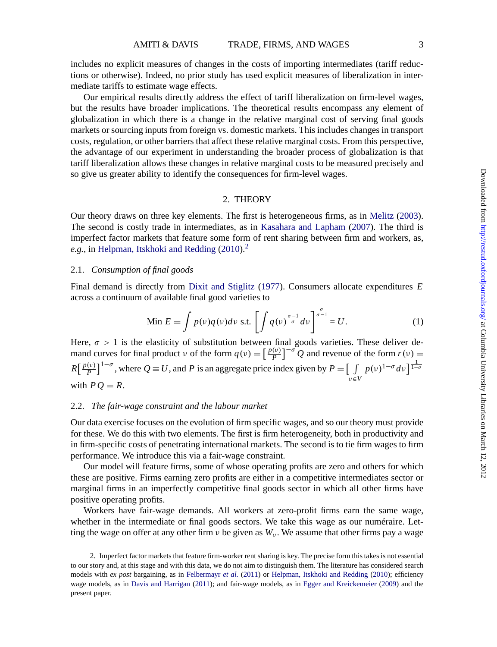includes no explicit measures of changes in the costs of importing intermediates (tariff reductions or otherwise). Indeed, no prior study has used explicit measures of liberalization in intermediate tariffs to estimate wage effects.

Our empirical results directly address the effect of tariff liberalization on firm-level wages, but the results have broader implications. The theoretical results encompass any element of globalization in which there is a change in the relative marginal cost of serving final goods markets or sourcing inputs from foreign vs. domestic markets. This includes changes in transport costs, regulation, or other barriers that affect these relative marginal costs. From this perspective, the advantage of our experiment in understanding the broader process of globalization is that tariff liberalization allows these changes in relative marginal costs to be measured precisely and so give us greater ability to identify the consequences for firm-level wages.

#### 2. THEORY

Our theory draws on three key elements. The first is heterogeneous firms, as in [Melitz](#page-35-0) [\(2003\)](#page-35-0). The second is costly trade in intermediates, as in [Kasahara and Lapham](#page-35-0) [\(2007](#page-35-0)). The third is imperfect factor markets that feature some form of rent sharing between firm and workers, as, *e.g.*, in [Helpman, Itskhoki and Redding](#page-35-0) ([2010](#page-35-0)).<sup>2</sup>

#### 2.1. *Consumption of final goods*

Final demand is directly from [Dixit and Stiglitz](#page-34-0) ([1977\)](#page-34-0). Consumers allocate expenditures *E* across a continuum of available final good varieties to

$$
\text{Min } E = \int p(v)q(v)dv \text{ s.t. } \left[ \int q(v)^{\frac{\sigma-1}{\sigma}} dv \right]^{\frac{\sigma}{\sigma-1}} = U. \tag{1}
$$

Here,  $\sigma > 1$  is the elasticity of substitution between final goods varieties. These deliver demand curves for final product *v* of the form  $q(v) = \left[\frac{p(v)}{P}\right]$  $\left[\frac{v}{p}\right]^{-\sigma} Q$  and revenue of the form  $r(v) =$  $R\left[\frac{p(v)}{p}\right]$  $\left[\frac{v}{P}\right]^{1-\sigma}$ , where  $Q \equiv U$ , and *P* is an aggregate price index given by  $P = \begin{bmatrix} 1 \end{bmatrix}$ ν∈*V*  $p(v)^{1-\sigma}dv$ <sup> $\frac{1}{1-\sigma}$ </sup> with  $PQ = R$ .

#### 2.2. *The fair-wage constraint and the labour market*

Our data exercise focuses on the evolution of firm specific wages, and so our theory must provide for these. We do this with two elements. The first is firm heterogeneity, both in productivity and in firm-specific costs of penetrating international markets. The second is to tie firm wages to firm performance. We introduce this via a fair-wage constraint.

Our model will feature firms, some of whose operating profits are zero and others for which these are positive. Firms earning zero profits are either in a competitive intermediates sector or marginal firms in an imperfectly competitive final goods sector in which all other firms have positive operating profits.

Workers have fair-wage demands. All workers at zero-profit firms earn the same wage, whether in the intermediate or final goods sectors. We take this wage as our numéraire. Letting the wage on offer at any other firm  $\nu$  be given as  $W_{\nu}$ . We assume that other firms pay a wage

<sup>2.</sup> Imperfect factor markets that feature firm-worker rent sharing is key. The precise form this takes is not essential to our story and, at this stage and with this data, we do not aim to distinguish them. The literature has considered search models with *ex post* bargaining, as in [Felbermayr](#page-35-0) *et al.* [\(2011](#page-35-0)) or [Helpman, Itskhoki and Redding](#page-35-0) [\(2010](#page-35-0)); efficiency wage models, as in [Davis and Harrigan](#page-34-0) [\(2011](#page-34-0)); and fair-wage models, as in [Egger and Kreickemeier](#page-34-0) ([2009](#page-34-0)) and the present paper.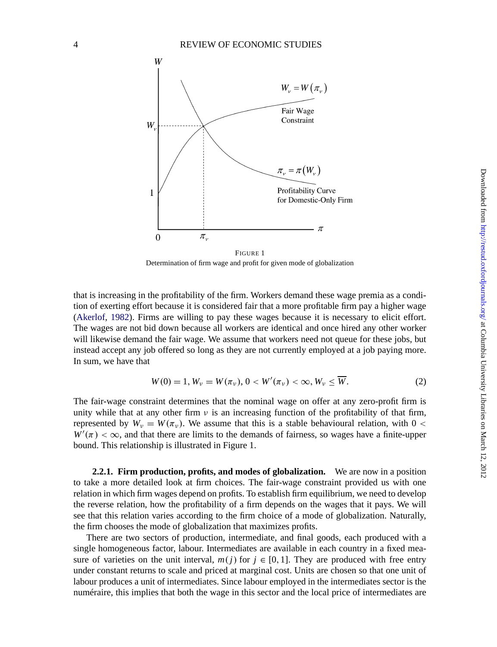

Determination of firm wage and profit for given mode of globalization

that is increasing in the profitability of the firm. Workers demand these wage premia as a condition of exerting effort because it is considered fair that a more profitable firm pay a higher wage [\(Akerlof](#page-34-0), [1982](#page-34-0)). Firms are willing to pay these wages because it is necessary to elicit effort. The wages are not bid down because all workers are identical and once hired any other worker will likewise demand the fair wage. We assume that workers need not queue for these jobs, but instead accept any job offered so long as they are not currently employed at a job paying more. In sum, we have that

$$
W(0) = 1, W_{\nu} = W(\pi_{\nu}), 0 < W'(\pi_{\nu}) < \infty, W_{\nu} \leq \overline{W}.\tag{2}
$$

The fair-wage constraint determines that the nominal wage on offer at any zero-profit firm is unity while that at any other firm  $\nu$  is an increasing function of the profitability of that firm, represented by  $W_v = W(\pi_v)$ . We assume that this is a stable behavioural relation, with 0 <  $W'(\pi) < \infty$ , and that there are limits to the demands of fairness, so wages have a finite-upper bound. This relationship is illustrated in Figure 1.

**2.2.1. Firm production, profits, and modes of globalization.** We are now in a position to take a more detailed look at firm choices. The fair-wage constraint provided us with one relation in which firm wages depend on profits. To establish firm equilibrium, we need to develop the reverse relation, how the profitability of a firm depends on the wages that it pays. We will see that this relation varies according to the firm choice of a mode of globalization. Naturally, the firm chooses the mode of globalization that maximizes profits.

There are two sectors of production, intermediate, and final goods, each produced with a single homogeneous factor, labour. Intermediates are available in each country in a fixed measure of varieties on the unit interval,  $m(j)$  for  $j \in [0,1]$ . They are produced with free entry under constant returns to scale and priced at marginal cost. Units are chosen so that one unit of labour produces a unit of intermediates. Since labour employed in the intermediates sector is the numéraire, this implies that both the wage in this sector and the local price of intermediates are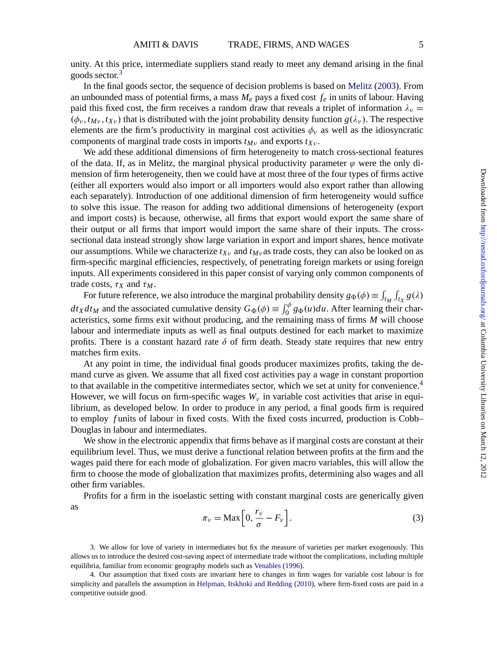unity. At this price, intermediate suppliers stand ready to meet any demand arising in the final goods sector.<sup>3</sup>

In the final goods sector, the sequence of decision problems is based on [Melitz](#page-35-0) [\(2003](#page-35-0)). From an unbounded mass of potential firms, a mass *Me* pays a fixed cost *fe* in units of labour. Having paid this fixed cost, the firm receives a random draw that reveals a triplet of information  $\lambda_{\nu}$  =  $(\phi_v, t_{Mv}, t_{Xv})$  that is distributed with the joint probability density function  $g(\lambda_v)$ . The respective elements are the firm's productivity in marginal cost activities  $\phi_v$  as well as the idiosyncratic components of marginal trade costs in imports  $t_{Mv}$  and exports  $t_{Xv}$ .

We add these additional dimensions of firm heterogeneity to match cross-sectional features of the data. If, as in Melitz, the marginal physical productivity parameter  $\varphi$  were the only dimension of firm heterogeneity, then we could have at most three of the four types of firms active (either all exporters would also import or all importers would also export rather than allowing each separately). Introduction of one additional dimension of firm heterogeneity would suffice to solve this issue. The reason for adding two additional dimensions of heterogeneity (export and import costs) is because, otherwise, all firms that export would export the same share of their output or all firms that import would import the same share of their inputs. The crosssectional data instead strongly show large variation in export and import shares, hence motivate our assumptions. While we characterize  $t_{Xv}$  and  $t_{Mv}$  as trade costs, they can also be looked on as firm-specific marginal efficiencies, respectively, of penetrating foreign markets or using foreign inputs. All experiments considered in this paper consist of varying only common components of trade costs,  $\tau_X$  and  $\tau_M$ .

For future reference, we also introduce the marginal probability density  $g_{\Phi}(\phi) \equiv \int_{t_M} \int_{t_X} g(\lambda)$  $dt_X dt_M$  and the associated cumulative density  $G_{\Phi}(\phi) \equiv \int_0^{\phi} g_{\Phi}(u) du$ . After learning their characteristics, some firms exit without producing, and the remaining mass of firms *M* will choose labour and intermediate inputs as well as final outputs destined for each market to maximize profits. There is a constant hazard rate  $\delta$  of firm death. Steady state requires that new entry matches firm exits.

At any point in time, the individual final goods producer maximizes profits, taking the demand curve as given. We assume that all fixed cost activities pay a wage in constant proportion to that available in the competitive intermediates sector, which we set at unity for convenience.<sup>4</sup> However, we will focus on firm-specific wages  $W<sub>v</sub>$  in variable cost activities that arise in equilibrium, as developed below. In order to produce in any period, a final goods firm is required to employ *f* units of labour in fixed costs. With the fixed costs incurred, production is Cobb– Douglas in labour and intermediates.

We show in the electronic appendix that firms behave as if marginal costs are constant at their equilibrium level. Thus, we must derive a functional relation between profits at the firm and the wages paid there for each mode of globalization. For given macro variables, this will allow the firm to choose the mode of globalization that maximizes profits, determining also wages and all other firm variables.

Profits for a firm in the isoelastic setting with constant marginal costs are generically given as

$$
\pi_{\nu} = \text{Max}\left[0, \frac{r_{\nu}}{\sigma} - F_{\nu}\right].\tag{3}
$$

3. We allow for love of variety in intermediates but fix the measure of varieties per market exogenously. This allows us to introduce the desired cost-saving aspect of intermediate trade without the complications, including multiple equilibria, familiar from economic geography models such as [Venables](#page-35-0) ([1996\)](#page-35-0).

<sup>4.</sup> Our assumption that fixed costs are invariant here to changes in firm wages for variable cost labour is for simplicity and parallels the assumption in [Helpman, Itskhoki and Redding](#page-35-0) [\(2010\)](#page-35-0), where firm-fixed costs are paid in a competitive outside good.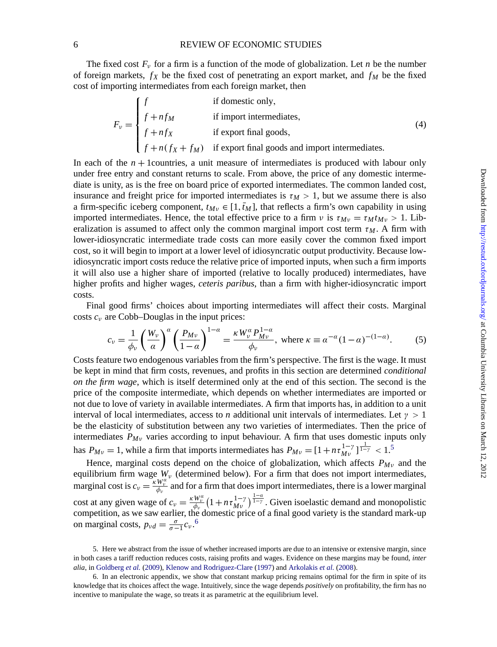#### 6 REVIEW OF ECONOMIC STUDIES

The fixed cost  $F_v$  for a firm is a function of the mode of globalization. Let *n* be the number of foreign markets,  $f_X$  be the fixed cost of penetrating an export market, and  $f_M$  be the fixed cost of importing intermediates from each foreign market, then

$$
F_v = \begin{cases} f & \text{if domestic only,} \\ f + nf_M & \text{if import intermediates,} \\ f + nf_X & \text{if export final goods,} \\ f + n(f_X + f_M) & \text{if export final goods and import intermediates.} \end{cases}
$$
(4)

In each of the *n* + 1countries, a unit measure of intermediates is produced with labour only under free entry and constant returns to scale. From above, the price of any domestic intermediate is unity, as is the free on board price of exported intermediates. The common landed cost, insurance and freight price for imported intermediates is  $\tau_M > 1$ , but we assume there is also a firm-specific iceberg component,  $t_{M\nu} \in [1, t_M]$ , that reflects a firm's own capability in using imported intermediates. Hence, the total effective price to a firm  $\nu$  is  $\tau_{M\nu} = \tau_M t_{M\nu} > 1$ . Liberalization is assumed to affect only the common marginal import cost term  $\tau_M$ . A firm with lower-idiosyncratic intermediate trade costs can more easily cover the common fixed import cost, so it will begin to import at a lower level of idiosyncratic output productivity. Because lowidiosyncratic import costs reduce the relative price of imported inputs, when such a firm imports it will also use a higher share of imported (relative to locally produced) intermediates, have higher profits and higher wages, *ceteris paribus*, than a firm with higher-idiosyncratic import costs.

Final good firms' choices about importing intermediates will affect their costs. Marginal costs  $c<sub>v</sub>$  are Cobb–Douglas in the input prices:

$$
c_{\nu} = \frac{1}{\phi_{\nu}} \left(\frac{W_{\nu}}{a}\right)^{\alpha} \left(\frac{P_{M\nu}}{1-\alpha}\right)^{1-\alpha} = \frac{\kappa W_{\nu}^{\alpha} P_{M\nu}^{1-\alpha}}{\phi_{\nu}}, \text{ where } \kappa \equiv \alpha^{-\alpha} (1-\alpha)^{-(1-\alpha)}. \tag{5}
$$

Costs feature two endogenous variables from the firm's perspective. The first is the wage. It must be kept in mind that firm costs, revenues, and profits in this section are determined *conditional on the firm wage*, which is itself determined only at the end of this section. The second is the price of the composite intermediate, which depends on whether intermediates are imported or not due to love of variety in available intermediates. A firm that imports has, in addition to a unit interval of local intermediates, access to *n* additional unit intervals of intermediates. Let  $\gamma > 1$ be the elasticity of substitution between any two varieties of intermediates. Then the price of intermediates  $P_{Mv}$  varies according to input behaviour. A firm that uses domestic inputs only has  $P_{Mv} = 1$ , while a firm that imports intermediates has  $P_{Mv} = [1 + n \tau_{Mv}^{1-\gamma}]^{\frac{1}{1-\gamma}} < 1$ .<sup>5</sup>

Hence, marginal costs depend on the choice of globalization, which affects  $P_{M_V}$  and the equilibrium firm wage  $W_v$  (determined below). For a firm that does not import intermediates, marginal cost is  $c_v = \frac{\kappa W_v^a}{\phi_v}$  and for a firm that does import intermediates, there is a lower marginal cost at any given wage of  $c_v = \frac{\kappa W_u^{\alpha}}{\phi_v} \left(1 + n \tau_{Mv}^{1-\gamma}\right)^{\frac{1-\alpha}{1-\gamma}}$ . Given isoelastic demand and monopolistic competition, as we saw earlier, the domestic price of a final good variety is the standard mark-up on marginal costs,  $p_{\nu d} = \frac{\sigma}{\sigma - 1} c_{\nu}$ .<sup>6</sup>

<sup>5.</sup> Here we abstract from the issue of whether increased imports are due to an intensive or extensive margin, since in both cases a tariff reduction reduces costs, raising profits and wages. Evidence on these margins may be found, *inter alia*, in [Goldberg](#page-35-0) *et al.* [\(2009](#page-35-0)), [Klenow and Rodriguez-Clare](#page-35-0) [\(1997](#page-35-0)) and [Arkolakis](#page-34-0) *et al.* [\(2008](#page-34-0)).

<sup>6.</sup> In an electronic appendix, we show that constant markup pricing remains optimal for the firm in spite of its knowledge that its choices affect the wage. Intuitively, since the wage depends *positively* on profitability, the firm has no incentive to manipulate the wage, so treats it as parametric at the equilibrium level.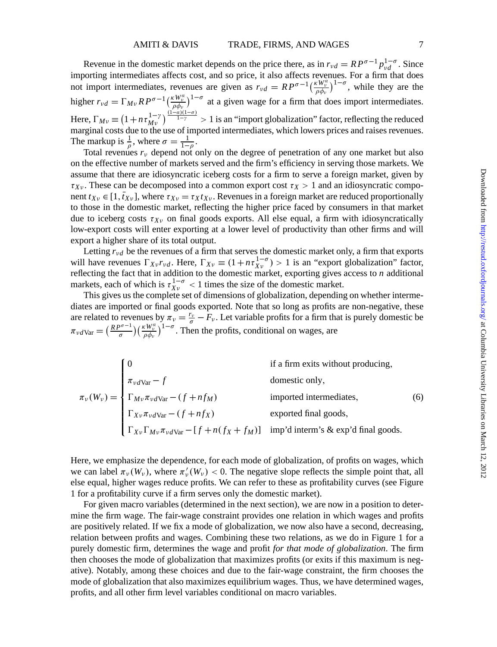Revenue in the domestic market depends on the price there, as in  $r_{\nu d} = R P^{\sigma-1} p_{\nu d}^{1-\sigma}$ . Since importing intermediates affects cost, and so price, it also affects revenues. For a firm that does not import intermediates, revenues are given as  $r_{\nu d} = R P^{\sigma-1} \left( \frac{\kappa W_{\nu}^{\alpha}}{\rho \phi_{\nu}} \right)^{1-\sigma}$ , while they are the higher  $r_{vd} = \Gamma_{Mv} R P^{\sigma-1} \left(\frac{\kappa W_v^{\alpha}}{\rho \phi_v}\right)^{1-\sigma}$  at a given wage for a firm that does import intermediates. Here,  $\Gamma_{M\nu} \equiv (1 + n \tau_{M\nu}^{1-\gamma})^{\frac{(1-\alpha)(1-\sigma)}{1-\gamma}} > 1$  is an "import globalization" factor, reflecting the reduced marginal costs due to the use of imported intermediates, which lowers prices and raises revenues. The markup is  $\frac{1}{\rho}$ , where  $\sigma = \frac{1}{1-\rho}$ .

Total revenues  $r_v$  depend not only on the degree of penetration of any one market but also on the effective number of markets served and the firm's efficiency in serving those markets. We assume that there are idiosyncratic iceberg costs for a firm to serve a foreign market, given by  $\tau_{Xv}$ . These can be decomposed into a common export cost  $\tau_X > 1$  and an idiosyncratic component  $t_{Xv} \in [1, \bar{t}_{Xv}]$ , where  $\tau_{Xv} = \tau_X t_{Xv}$ . Revenues in a foreign market are reduced proportionally to those in the domestic market, reflecting the higher price faced by consumers in that market due to iceberg costs  $\tau_{Xv}$  on final goods exports. All else equal, a firm with idiosyncratically low-export costs will enter exporting at a lower level of productivity than other firms and will export a higher share of its total output.

Letting  $r_{\nu d}$  be the revenues of a firm that serves the domestic market only, a firm that exports will have revenues  $\Gamma_{Xv}r_{vd}$ . Here,  $\Gamma_{Xv} \equiv (1 + n\tau_{Xv}^{1-\sigma}) > 1$  is an "export globalization" factor, reflecting the fact that in addition to the domestic market, exporting gives access to *n* additional markets, each of which is  $\tau_{\text{Yv}}^{1-\sigma}$  < 1 times the size of the domestic market.

This gives us the complete set of dimensions of globalization, depending on whether intermediates are imported or final goods exported. Note that so long as profits are non-negative, these are related to revenues by  $\pi_v = \frac{r_v}{\sigma} - F_v$ . Let variable profits for a firm that is purely domestic be  $\pi_{\nu d}v_{\rm ar} = \left(\frac{R P^{\sigma-1}}{\sigma}\right) \left(\frac{\kappa W_{\nu}^{\alpha}}{\rho \phi_{\nu}}\right)^{1-\sigma}$ . Then the profits, conditional on wages, are

|                                                                                                                                                                                                              | if a firm exits without producing, |     |
|--------------------------------------------------------------------------------------------------------------------------------------------------------------------------------------------------------------|------------------------------------|-----|
| $\tau_{\nu}(W_{\nu}) = \begin{cases} \pi_{\nu} d_{\text{Var}} - f \\ \Gamma_{M\nu} \pi_{\nu} d_{\text{Var}} - (f + nf_M) \\ - \pi_{\text{Var}} - (f + nf_X) \end{cases}$ inp'd interm's & exp'd final goods. |                                    |     |
|                                                                                                                                                                                                              |                                    | (6) |
|                                                                                                                                                                                                              |                                    |     |
|                                                                                                                                                                                                              |                                    |     |

Here, we emphasize the dependence, for each mode of globalization, of profits on wages, which we can label  $\pi_v(W_v)$ , where  $\pi'_v(W_v) < 0$ . The negative slope reflects the simple point that, all else equal, higher wages reduce profits. We can refer to these as profitability curves (see Figure 1 for a profitability curve if a firm serves only the domestic market).

For given macro variables (determined in the next section), we are now in a position to determine the firm wage. The fair-wage constraint provides one relation in which wages and profits are positively related. If we fix a mode of globalization, we now also have a second, decreasing, relation between profits and wages. Combining these two relations, as we do in Figure 1 for a purely domestic firm, determines the wage and profit *for that mode of globalization*. The firm then chooses the mode of globalization that maximizes profits (or exits if this maximum is negative). Notably, among these choices and due to the fair-wage constraint, the firm chooses the mode of globalization that also maximizes equilibrium wages. Thus, we have determined wages, profits, and all other firm level variables conditional on macro variables.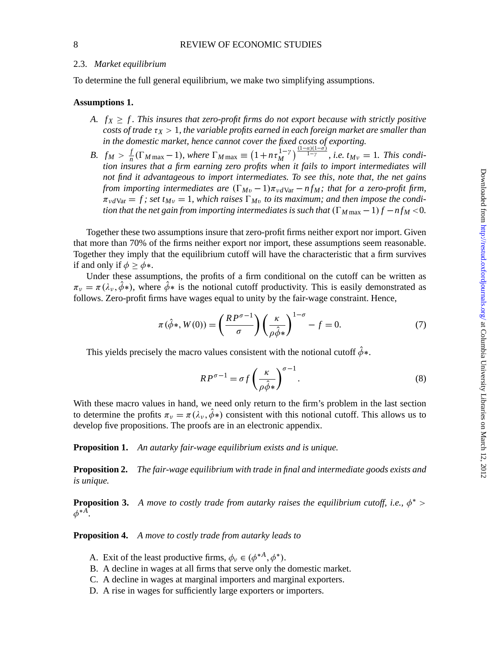#### 2.3. *Market equilibrium*

To determine the full general equilibrium, we make two simplifying assumptions.

#### **Assumptions 1.**

- *A.*  $f_X \geq f$ . This insures that zero-profit firms do not export because with strictly positive *costs of trade*  $\tau_X > 1$ , *the variable profits earned in each foreign market are smaller than in the domestic market, hence cannot cover the fixed costs of exporting.*
- *B.*  $f_M > \frac{f}{n}(\Gamma_{M \max} 1)$ , where  $\Gamma_{M \max} \equiv (1 + n \tau_M^{1-\gamma})^{\frac{(1-\alpha)(1-\sigma)}{1-\gamma}}$ , *i.e.*  $t_{M\nu} = 1$ *. This condition insures that a firm earning zero profits when it fails to import intermediates will not find it advantageous to import intermediates. To see this, note that, the net gains from importing intermediates are*  $(\Gamma_{Mv} - 1)\pi_{v}d_{\text{Var}} - nf_M$ ; *that for a zero-profit firm*,  $\pi_{\nu d\text{Var}} = f$ ; set  $t_{M\nu} = 1$ , which raises  $\Gamma_{M\nu}$  to its maximum; and then impose the condi*tion that the net gain from importing intermediates is such that*  $(\Gamma_M_{\text{max}} - 1)f - nf_M < 0$ .

Together these two assumptions insure that zero-profit firms neither export nor import. Given that more than 70% of the firms neither export nor import, these assumptions seem reasonable. Together they imply that the equilibrium cutoff will have the characteristic that a firm survives if and only if  $\phi > \phi$ \*.

Under these assumptions, the profits of a firm conditional on the cutoff can be written as  $\pi_v = \pi(\lambda_v, \hat{\phi}_*)$ , where  $\hat{\phi}_*$  is the notional cutoff productivity. This is easily demonstrated as follows. Zero-profit firms have wages equal to unity by the fair-wage constraint. Hence,

$$
\pi(\hat{\phi}*, W(0)) = \left(\frac{RP^{\sigma-1}}{\sigma}\right) \left(\frac{\kappa}{\rho \hat{\phi} *}\right)^{1-\sigma} - f = 0. \tag{7}
$$

This yields precisely the macro values consistent with the notional cutoff  $\hat{\phi}$ \*.

$$
RP^{\sigma - 1} = \sigma f \left(\frac{\kappa}{\rho \hat{\phi}^*}\right)^{\sigma - 1}.
$$
 (8)

With these macro values in hand, we need only return to the firm's problem in the last section to determine the profits  $\pi_v = \pi(\lambda_v, \phi^*)$  consistent with this notional cutoff. This allows us to develop five propositions. The proofs are in an electronic appendix.

**Proposition 1.** *An autarky fair-wage equilibrium exists and is unique.*

**Proposition 2.** *The fair-wage equilibrium with trade in final and intermediate goods exists and is unique.*

**Proposition 3.** *A move to costly trade from autarky raises the equilibrium cutoff, i.e.,*  $\phi^*$  >  $\phi^{*A}$ .

**Proposition 4.** *A move to costly trade from autarky leads to*

- A. Exit of the least productive firms,  $\phi_v \in (\phi^{*A}, \phi^*)$ .
- B. A decline in wages at all firms that serve only the domestic market.
- C. A decline in wages at marginal importers and marginal exporters.
- D. A rise in wages for sufficiently large exporters or importers.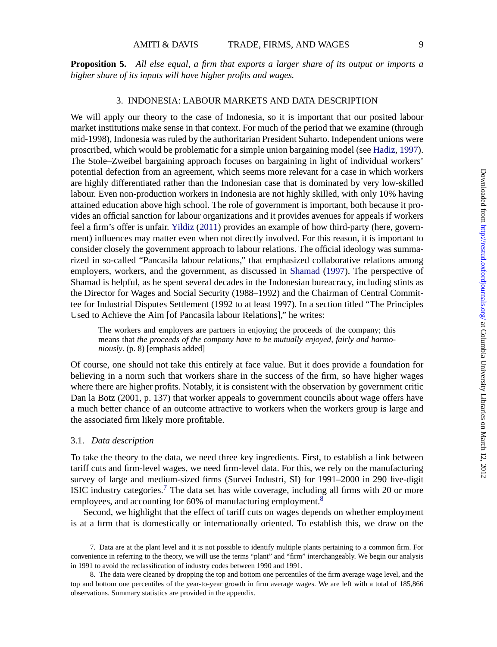**Proposition 5.** *All else equal, a firm that exports a larger share of its output or imports a higher share of its inputs will have higher profits and wages.*

#### 3. INDONESIA: LABOUR MARKETS AND DATA DESCRIPTION

We will apply our theory to the case of Indonesia, so it is important that our posited labour market institutions make sense in that context. For much of the period that we examine (through mid-1998), Indonesia was ruled by the authoritarian President Suharto. Independent unions were proscribed, which would be problematic for a simple union bargaining model (see [Hadiz](#page-35-0), [1997\)](#page-35-0). The Stole–Zweibel bargaining approach focuses on bargaining in light of individual workers' potential defection from an agreement, which seems more relevant for a case in which workers are highly differentiated rather than the Indonesian case that is dominated by very low-skilled labour. Even non-production workers in Indonesia are not highly skilled, with only 10% having attained education above high school. The role of government is important, both because it provides an official sanction for labour organizations and it provides avenues for appeals if workers feel a firm's offer is unfair. [Yildiz](#page-35-0) [\(2011](#page-35-0)) provides an example of how third-party (here, government) influences may matter even when not directly involved. For this reason, it is important to consider closely the government approach to labour relations. The official ideology was summarized in so-called "Pancasila labour relations," that emphasized collaborative relations among employers, workers, and the government, as discussed in [Shamad](#page-35-0) ([1997\)](#page-35-0). The perspective of Shamad is helpful, as he spent several decades in the Indonesian bureacracy, including stints as the Director for Wages and Social Security (1988–1992) and the Chairman of Central Committee for Industrial Disputes Settlement (1992 to at least 1997). In a section titled "The Principles Used to Achieve the Aim [of Pancasila labour Relations]," he writes:

The workers and employers are partners in enjoying the proceeds of the company; this means that *the proceeds of the company have to be mutually enjoyed, fairly and harmoniously*. (p. 8) [emphasis added]

Of course, one should not take this entirely at face value. But it does provide a foundation for believing in a norm such that workers share in the success of the firm, so have higher wages where there are higher profits. Notably, it is consistent with the observation by government critic Dan la Botz (2001, p. 137) that worker appeals to government councils about wage offers have a much better chance of an outcome attractive to workers when the workers group is large and the associated firm likely more profitable.

#### 3.1. *Data description*

To take the theory to the data, we need three key ingredients. First, to establish a link between tariff cuts and firm-level wages, we need firm-level data. For this, we rely on the manufacturing survey of large and medium-sized firms (Survei Industri, SI) for 1991–2000 in 290 five-digit ISIC industry categories.<sup>7</sup> The data set has wide coverage, including all firms with 20 or more employees, and accounting for 60% of manufacturing employment.<sup>8</sup>

Second, we highlight that the effect of tariff cuts on wages depends on whether employment is at a firm that is domestically or internationally oriented. To establish this, we draw on the

<sup>7.</sup> Data are at the plant level and it is not possible to identify multiple plants pertaining to a common firm. For convenience in referring to the theory, we will use the terms "plant" and "firm" interchangeably. We begin our analysis in 1991 to avoid the reclassification of industry codes between 1990 and 1991.

<sup>8.</sup> The data were cleaned by dropping the top and bottom one percentiles of the firm average wage level, and the top and bottom one percentiles of the year-to-year growth in firm average wages. We are left with a total of 185,866 observations. Summary statistics are provided in the appendix.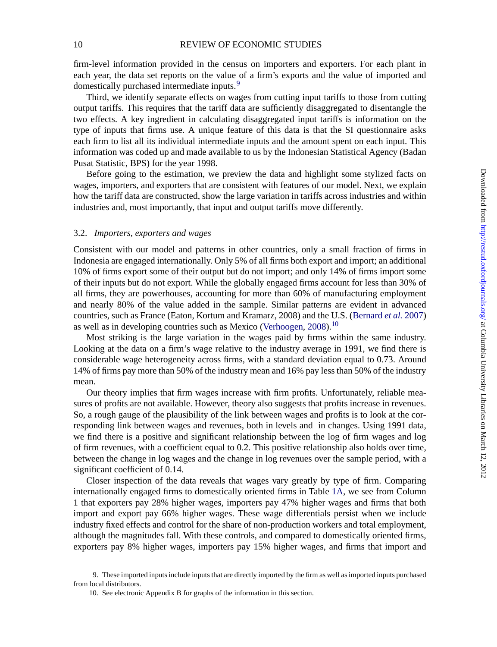firm-level information provided in the census on importers and exporters. For each plant in each year, the data set reports on the value of a firm's exports and the value of imported and domestically purchased intermediate inputs.<sup>9</sup>

Third, we identify separate effects on wages from cutting input tariffs to those from cutting output tariffs. This requires that the tariff data are sufficiently disaggregated to disentangle the two effects. A key ingredient in calculating disaggregated input tariffs is information on the type of inputs that firms use. A unique feature of this data is that the SI questionnaire asks each firm to list all its individual intermediate inputs and the amount spent on each input. This information was coded up and made available to us by the Indonesian Statistical Agency (Badan Pusat Statistic, BPS) for the year 1998.

Before going to the estimation, we preview the data and highlight some stylized facts on wages, importers, and exporters that are consistent with features of our model. Next, we explain how the tariff data are constructed, show the large variation in tariffs across industries and within industries and, most importantly, that input and output tariffs move differently.

#### 3.2. *Importers, exporters and wages*

Consistent with our model and patterns in other countries, only a small fraction of firms in Indonesia are engaged internationally. Only 5% of all firms both export and import; an additional 10% of firms export some of their output but do not import; and only 14% of firms import some of their inputs but do not export. While the globally engaged firms account for less than 30% of all firms, they are powerhouses, accounting for more than 60% of manufacturing employment and nearly 80% of the value added in the sample. Similar patterns are evident in advanced countries, such as France (Eaton, Kortum and Kramarz, 2008) and the U.S. [\(Bernard](#page-34-0) *et al.* [2007](#page-34-0)) as well as in developing countries such as Mexico ([Verhoogen,](#page-35-0) [2008\)](#page-35-0).<sup>10</sup>

Most striking is the large variation in the wages paid by firms within the same industry. Looking at the data on a firm's wage relative to the industry average in 1991, we find there is considerable wage heterogeneity across firms, with a standard deviation equal to 0.73. Around 14% of firms pay more than 50% of the industry mean and 16% pay less than 50% of the industry mean.

Our theory implies that firm wages increase with firm profits. Unfortunately, reliable measures of profits are not available. However, theory also suggests that profits increase in revenues. So, a rough gauge of the plausibility of the link between wages and profits is to look at the corresponding link between wages and revenues, both in levels and in changes. Using 1991 data, we find there is a positive and significant relationship between the log of firm wages and log of firm revenues, with a coefficient equal to 0.2. This positive relationship also holds over time, between the change in log wages and the change in log revenues over the sample period, with a significant coefficient of 0.14.

Closer inspection of the data reveals that wages vary greatly by type of firm. Comparing internationally engaged firms to domestically oriented firms in Table [1A](#page-34-0), we see from Column 1 that exporters pay 28% higher wages, importers pay 47% higher wages and firms that both import and export pay 66% higher wages. These wage differentials persist when we include industry fixed effects and control for the share of non-production workers and total employment, although the magnitudes fall. With these controls, and compared to domestically oriented firms, exporters pay 8% higher wages, importers pay 15% higher wages, and firms that import and

<sup>9.</sup> These imported inputs include inputs that are directly imported by the firm as well as imported inputs purchased from local distributors.

<sup>10.</sup> See electronic Appendix B for graphs of the information in this section.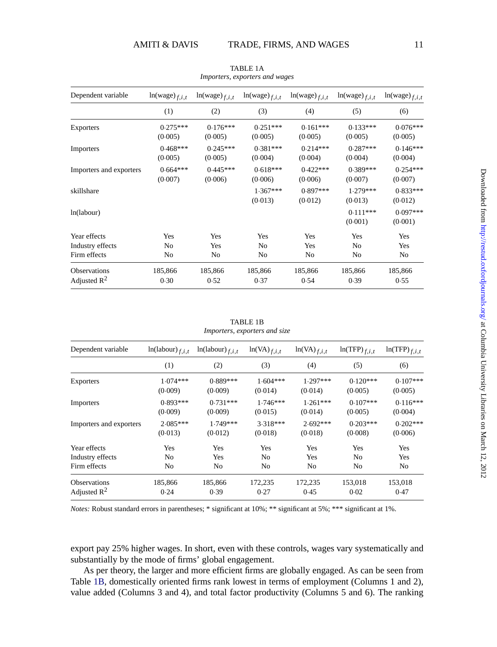| Dependent variable                    | $ln(wage)_{f,i,t}$    | $ln(wage)_{f,i,t}$    | $ln(wage)_{f,i,t}$    | $ln(wage)_{f,i,t}$    | $ln(wage)_{f,i,t}$    | $ln(wage)_{f,i,t}$    |
|---------------------------------------|-----------------------|-----------------------|-----------------------|-----------------------|-----------------------|-----------------------|
|                                       | (1)                   | (2)                   | (3)                   | (4)                   | (5)                   | (6)                   |
| <b>Exporters</b>                      | $0.275***$<br>(0.005) | $0.176***$<br>(0.005) | $0.251***$<br>(0.005) | $0.161***$<br>(0.005) | $0.133***$<br>(0.005) | $0.076***$<br>(0.005) |
| Importers                             | $0.468***$<br>(0.005) | $0.245***$<br>(0.005) | $0.381***$<br>(0.004) | $0.214***$<br>(0.004) | $0.287***$<br>(0.004) | $0.146***$<br>(0.004) |
| Importers and exporters               | $0.664***$<br>(0.007) | $0.445***$<br>(0.006) | $0.618***$<br>(0.006) | $0.422***$<br>(0.006) | $0.389***$<br>(0.007) | $0.254***$<br>(0.007) |
| skillshare                            |                       |                       | $1.367***$<br>(0.013) | $0.897***$<br>(0.012) | $1.279***$<br>(0.013) | $0.833***$<br>(0.012) |
| ln(labour)                            |                       |                       |                       |                       | $0.111***$<br>(0.001) | $0.097***$<br>(0.001) |
| Year effects                          | Yes                   | Yes                   | Yes                   | Yes                   | Yes                   | Yes                   |
| Industry effects                      | N <sub>0</sub>        | Yes                   | N <sub>0</sub>        | Yes                   | N <sub>0</sub>        | Yes                   |
| Firm effects                          | No                    | N <sub>0</sub>        | N <sub>0</sub>        | No                    | N <sub>0</sub>        | No                    |
| <b>Observations</b><br>Adjusted $R^2$ | 185,866<br>0.30       | 185,866<br>0.52       | 185,866<br>0.37       | 185,866<br>0.54       | 185,866<br>0.39       | 185,866<br>0.55       |

TABLE 1A *Importers, exporters and wages*

TABLE 1B *Importers, exporters and size*

| Dependent variable      | $ln(labour)_{f,i,t}$  | $ln(labour)_{f,i,t}$  | $ln(VA)_{f,i,t}$      | $ln(VA)_{f,i,t}$      | $ln(TFP)_{f,i,t}$     | $ln(TFP)_{f,i,t}$     |
|-------------------------|-----------------------|-----------------------|-----------------------|-----------------------|-----------------------|-----------------------|
|                         | (1)                   | (2)                   | (3)                   | (4)                   | (5)                   | (6)                   |
| Exporters               | $1.074***$<br>(0.009) | $0.889***$<br>(0.009) | $1.604***$<br>(0.014) | $1.297***$<br>(0.014) | $0.120***$<br>(0.005) | $0.107***$<br>(0.005) |
| Importers               | $0.893***$<br>(0.009) | $0.731***$<br>(0.009) | $1.746***$<br>(0.015) | $1.261***$<br>(0.014) | $0.107***$<br>(0.005) | $0.116***$<br>(0.004) |
| Importers and exporters | $2.085***$<br>(0.013) | $1.749***$<br>(0.012) | $3.318***$<br>(0.018) | $2.692***$<br>(0.018) | $0.203***$<br>(0.008) | $0.202***$<br>(0.006) |
| Year effects            | Yes                   | Yes                   | Yes                   | Yes                   | Yes                   | Yes                   |
| Industry effects        | N <sub>0</sub>        | Yes                   | N <sub>o</sub>        | Yes                   | No                    | Yes                   |
| Firm effects            | N <sub>0</sub>        | N <sub>0</sub>        | N <sub>o</sub>        | No                    | No                    | No.                   |
| <b>Observations</b>     | 185,866               | 185,866               | 172,235               | 172,235               | 153,018               | 153,018               |
| Adjusted $R^2$          | 0.24                  | 0.39                  | 0.27                  | 0.45                  | 0.02                  | 0.47                  |

*Notes:* Robust standard errors in parentheses; \* significant at 10%; \*\* significant at 5%; \*\*\* significant at 1%.

export pay 25% higher wages. In short, even with these controls, wages vary systematically and substantially by the mode of firms' global engagement.

As per theory, the larger and more efficient firms are globally engaged. As can be seen from Table [1B,](#page-34-0) domestically oriented firms rank lowest in terms of employment (Columns 1 and 2), value added (Columns 3 and 4), and total factor productivity (Columns 5 and 6). The ranking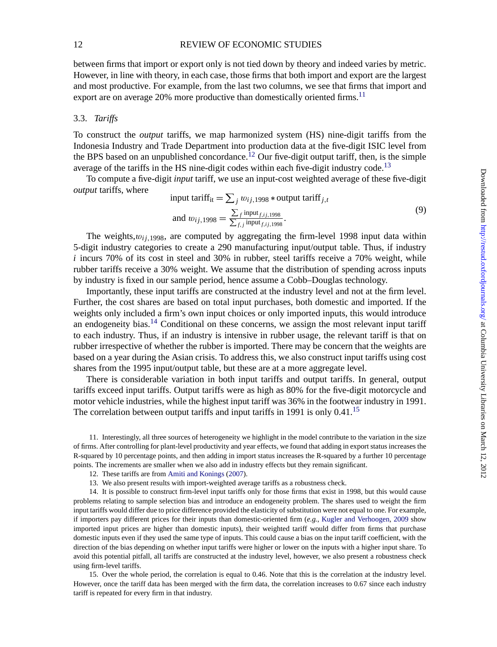#### 12 REVIEW OF ECONOMIC STUDIES

between firms that import or export only is not tied down by theory and indeed varies by metric. However, in line with theory, in each case, those firms that both import and export are the largest and most productive. For example, from the last two columns, we see that firms that import and export are on average  $20\%$  more productive than domestically oriented firms.<sup>11</sup>

#### 3.3. *Tariffs*

To construct the *output* tariffs, we map harmonized system (HS) nine-digit tariffs from the Indonesia Industry and Trade Department into production data at the five-digit ISIC level from the BPS based on an unpublished concordance.<sup>12</sup> Our five-digit output tariff, then, is the simple average of the tariffs in the HS nine-digit codes within each five-digit industry code.<sup>13</sup>

To compute a five-digit *input* tariff, we use an input-cost weighted average of these five-digit *output* tariffs, where

input tariff<sub>it</sub> = 
$$
\sum_j w_{ij,1998} *
$$
output tariff<sub>j,t</sub>  
and  $w_{ij,1998} = \frac{\sum_j input_{f,ij,1998}}{\sum_{f,j} input_{f,ij,1998}}$ . (9)

The weights, $w_{ij}$   $_{1998}$ , are computed by aggregating the firm-level 1998 input data within 5-digit industry categories to create a 290 manufacturing input/output table. Thus, if industry  $i$  incurs 70% of its cost in steel and 30% in rubber, steel tariffs receive a 70% weight, while rubber tariffs receive a 30% weight. We assume that the distribution of spending across inputs by industry is fixed in our sample period, hence assume a Cobb–Douglas technology.

Importantly, these input tariffs are constructed at the industry level and not at the firm level. Further, the cost shares are based on total input purchases, both domestic and imported. If the weights only included a firm's own input choices or only imported inputs, this would introduce an endogeneity bias.<sup>14</sup> Conditional on these concerns, we assign the most relevant input tariff to each industry. Thus, if an industry is intensive in rubber usage, the relevant tariff is that on rubber irrespective of whether the rubber is imported. There may be concern that the weights are based on a year during the Asian crisis. To address this, we also construct input tariffs using cost shares from the 1995 input/output table, but these are at a more aggregate level.

There is considerable variation in both input tariffs and output tariffs. In general, output tariffs exceed input tariffs. Output tariffs were as high as 80% for the five-digit motorcycle and motor vehicle industries, while the highest input tariff was 36% in the footwear industry in 1991. The correlation between output tariffs and input tariffs in 1991 is only 0.41.<sup>15</sup>

11. Interestingly, all three sources of heterogeneity we highlight in the model contribute to the variation in the size of firms. After controlling for plant-level productivity and year effects, we found that adding in export status increases the R-squared by 10 percentage points, and then adding in import status increases the R-squared by a further 10 percentage points. The increments are smaller when we also add in industry effects but they remain significant.

12. These tariffs are from [Amiti and Konings](#page-34-0) ([2007\)](#page-34-0).

13. We also present results with import-weighted average tariffs as a robustness check.

14. It is possible to construct firm-level input tariffs only for those firms that exist in 1998, but this would cause problems relating to sample selection bias and introduce an endogeneity problem. The shares used to weight the firm input tariffs would differ due to price difference provided the elasticity of substitution were not equal to one. For example, if importers pay different prices for their inputs than domestic-oriented firm (*e.g.*, [Kugler and Verhoogen](#page-35-0), [2009](#page-35-0) show imported input prices are higher than domestic inputs), their weighted tariff would differ from firms that purchase domestic inputs even if they used the same type of inputs. This could cause a bias on the input tariff coefficient, with the direction of the bias depending on whether input tariffs were higher or lower on the inputs with a higher input share. To avoid this potential pitfall, all tariffs are constructed at the industry level, however, we also present a robustness check using firm-level tariffs.

15. Over the whole period, the correlation is equal to 0.46. Note that this is the correlation at the industry level. However, once the tariff data has been merged with the firm data, the correlation increases to 0.67 since each industry tariff is repeated for every firm in that industry.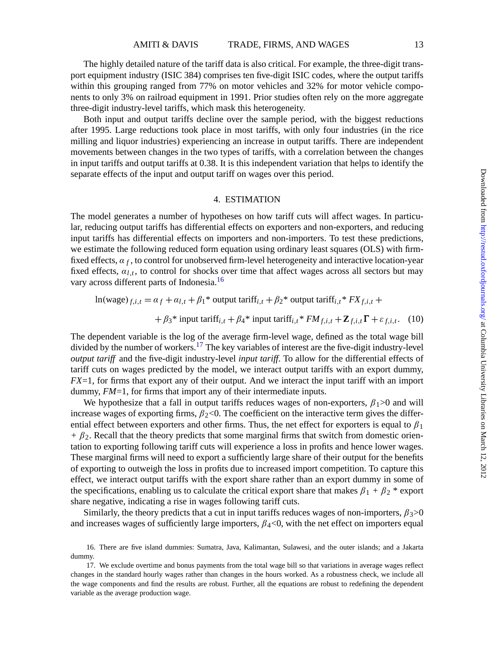The highly detailed nature of the tariff data is also critical. For example, the three-digit transport equipment industry (ISIC 384) comprises ten five-digit ISIC codes, where the output tariffs within this grouping ranged from 77% on motor vehicles and 32% for motor vehicle components to only 3% on railroad equipment in 1991. Prior studies often rely on the more aggregate three-digit industry-level tariffs, which mask this heterogeneity.

Both input and output tariffs decline over the sample period, with the biggest reductions after 1995. Large reductions took place in most tariffs, with only four industries (in the rice milling and liquor industries) experiencing an increase in output tariffs. There are independent movements between changes in the two types of tariffs, with a correlation between the changes in input tariffs and output tariffs at 0.38. It is this independent variation that helps to identify the separate effects of the input and output tariff on wages over this period.

#### 4. ESTIMATION

The model generates a number of hypotheses on how tariff cuts will affect wages. In particular, reducing output tariffs has differential effects on exporters and non-exporters, and reducing input tariffs has differential effects on importers and non-importers. To test these predictions, we estimate the following reduced form equation using ordinary least squares (OLS) with firmfixed effects, α *<sup>f</sup>* , to control for unobserved firm-level heterogeneity and interactive location-year fixed effects, α*l*,*<sup>t</sup>* , to control for shocks over time that affect wages across all sectors but may vary across different parts of Indonesia.<sup>16</sup>

$$
\ln(\text{wage})_{f,i,t} = \alpha_f + \alpha_{l,t} + \beta_1^* \text{ output } \text{tariff}_{i,t} + \beta_2^* \text{ output } \text{tariff}_{i,t}^* FX_{f,i,t} +
$$

$$
+ \beta_3^* \text{ input } \text{tariff}_{i,t} + \beta_4^* \text{ input } \text{tariff}_{i,t}^* FM_{f,i,t} + \mathbf{Z}_{f,i,t} \Gamma + \varepsilon_{f,i,t}. \quad (10)
$$

The dependent variable is the log of the average firm-level wage, defined as the total wage bill divided by the number of workers.<sup>17</sup> The key variables of interest are the five-digit industry-level *output tariff* and the five-digit industry-level *input tariff*. To allow for the differential effects of tariff cuts on wages predicted by the model, we interact output tariffs with an export dummy, *FX*=1, for firms that export any of their output. And we interact the input tariff with an import dummy, *FM*=1, for firms that import any of their intermediate inputs.

We hypothesize that a fall in output tariffs reduces wages of non-exporters,  $\beta_1 > 0$  and will increase wages of exporting firms,  $\beta_2$ <0. The coefficient on the interactive term gives the differential effect between exporters and other firms. Thus, the net effect for exporters is equal to  $\beta_1$  $+ \beta_2$ . Recall that the theory predicts that some marginal firms that switch from domestic orientation to exporting following tariff cuts will experience a loss in profits and hence lower wages. These marginal firms will need to export a sufficiently large share of their output for the benefits of exporting to outweigh the loss in profits due to increased import competition. To capture this effect, we interact output tariffs with the export share rather than an export dummy in some of the specifications, enabling us to calculate the critical export share that makes  $\beta_1 + \beta_2$  \* export share negative, indicating a rise in wages following tariff cuts.

Similarly, the theory predicts that a cut in input tariffs reduces wages of non-importers,  $\beta_3$ >0 and increases wages of sufficiently large importers,  $\beta_4<0$ , with the net effect on importers equal

<sup>16.</sup> There are five island dummies: Sumatra, Java, Kalimantan, Sulawesi, and the outer islands; and a Jakarta dummy.

<sup>17.</sup> We exclude overtime and bonus payments from the total wage bill so that variations in average wages reflect changes in the standard hourly wages rather than changes in the hours worked. As a robustness check, we include all the wage components and find the results are robust. Further, all the equations are robust to redefining the dependent variable as the average production wage.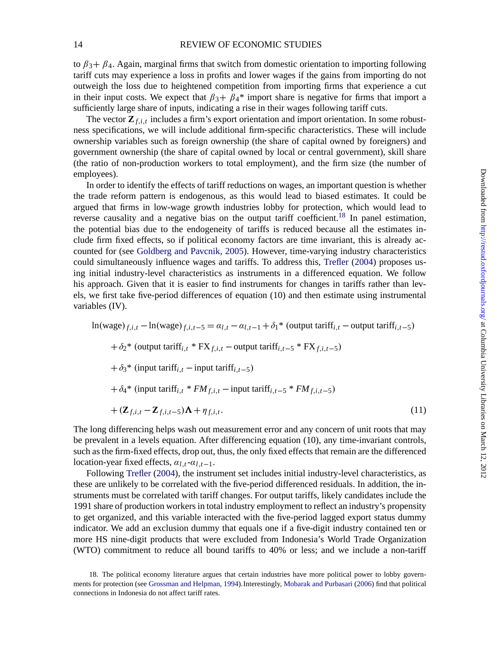#### 14 REVIEW OF ECONOMIC STUDIES

to  $\beta_3 + \beta_4$ . Again, marginal firms that switch from domestic orientation to importing following tariff cuts may experience a loss in profits and lower wages if the gains from importing do not outweigh the loss due to heightened competition from importing firms that experience a cut in their input costs. We expect that  $\beta_3 + \beta_4$ <sup>\*</sup> import share is negative for firms that import a sufficiently large share of inputs, indicating a rise in their wages following tariff cuts.

The vector  $\mathbf{Z}_{f,i,t}$  includes a firm's export orientation and import orientation. In some robustness specifications, we will include additional firm-specific characteristics. These will include ownership variables such as foreign ownership (the share of capital owned by foreigners) and government ownership (the share of capital owned by local or central government), skill share (the ratio of non-production workers to total employment), and the firm size (the number of employees).

In order to identify the effects of tariff reductions on wages, an important question is whether the trade reform pattern is endogenous, as this would lead to biased estimates. It could be argued that firms in low-wage growth industries lobby for protection, which would lead to reverse causality and a negative bias on the output tariff coefficient.<sup>18</sup> In panel estimation, the potential bias due to the endogeneity of tariffs is reduced because all the estimates include firm fixed effects, so if political economy factors are time invariant, this is already accounted for (see [Goldberg and Pavcnik](#page-35-0), [2005\)](#page-35-0). However, time-varying industry characteristics could simultaneously influence wages and tariffs. To address this, [Trefler](#page-35-0) ([2004](#page-35-0)) proposes using initial industry-level characteristics as instruments in a differenced equation. We follow his approach. Given that it is easier to find instruments for changes in tariffs rather than levels, we first take five-period differences of equation (10) and then estimate using instrumental variables (IV).

$$
\ln(wage)_{f,i,t} - \ln(wage)_{f,i,t-5} = \alpha_{l,t} - \alpha_{l,t-1} + \delta_1^*
$$
 (output  $tariff_{i,t}$  – output  $tariff_{i,t-5}$ )  
+  $\delta_2^*$  (output  $tariff_{i,t} * FX_{f,i,t}$  – output  $tariff_{i,t-5} * FX_{f,i,t-5}$ )  
+  $\delta_3^*$  (input  $tariff_{i,t}$  – input  $tariff_{i,t-5}$ )  
+  $\delta_4^*$  (input  $tariff_{i,t} * FM_{f,i,t}$  – input  $tariff_{i,t-5} * FM_{f,i,t-5}$ )  
+  $(Z_{f,i,t} - Z_{f,i,t-5})\Lambda + \eta_{f,i,t}$ . (11)

The long differencing helps wash out measurement error and any concern of unit roots that may be prevalent in a levels equation. After differencing equation (10), any time-invariant controls, such as the firm-fixed effects, drop out, thus, the only fixed effects that remain are the differenced location-year fixed effects, α*l*,*t-*α*l*,*t*−1.

Following [Trefler](#page-35-0) ([2004\)](#page-35-0), the instrument set includes initial industry-level characteristics, as these are unlikely to be correlated with the five-period differenced residuals. In addition, the instruments must be correlated with tariff changes. For output tariffs, likely candidates include the 1991 share of production workers in total industry employment to reflect an industry's propensity to get organized, and this variable interacted with the five-period lagged export status dummy indicator. We add an exclusion dummy that equals one if a five-digit industry contained ten or more HS nine-digit products that were excluded from Indonesia's World Trade Organization (WTO) commitment to reduce all bound tariffs to 40% or less; and we include a non-tariff

<sup>18.</sup> The political economy literature argues that certain industries have more political power to lobby governments for protection (see [Grossman and Helpman](#page-35-0), [1994](#page-35-0)).Interestingly, [Mobarak and Purbasari](#page-35-0) ([2006\)](#page-35-0) find that political connections in Indonesia do not affect tariff rates.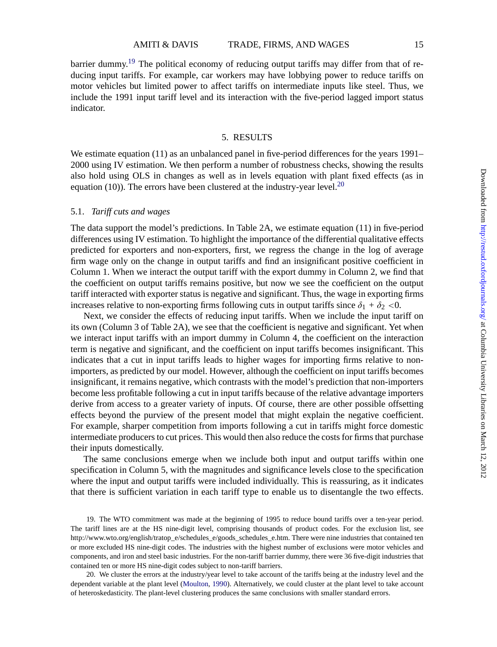barrier dummy.<sup>19</sup> The political economy of reducing output tariffs may differ from that of reducing input tariffs. For example, car workers may have lobbying power to reduce tariffs on motor vehicles but limited power to affect tariffs on intermediate inputs like steel. Thus, we include the 1991 input tariff level and its interaction with the five-period lagged import status indicator.

#### 5. RESULTS

We estimate equation (11) as an unbalanced panel in five-period differences for the years 1991– 2000 using IV estimation. We then perform a number of robustness checks, showing the results also hold using OLS in changes as well as in levels equation with plant fixed effects (as in equation (10)). The errors have been clustered at the industry-year level.<sup>20</sup>

#### 5.1. *Tariff cuts and wages*

The data support the model's predictions. In Table 2A, we estimate equation (11) in five-period differences using IV estimation. To highlight the importance of the differential qualitative effects predicted for exporters and non-exporters, first, we regress the change in the log of average firm wage only on the change in output tariffs and find an insignificant positive coefficient in Column 1. When we interact the output tariff with the export dummy in Column 2, we find that the coefficient on output tariffs remains positive, but now we see the coefficient on the output tariff interacted with exporter status is negative and significant. Thus, the wage in exporting firms increases relative to non-exporting firms following cuts in output tariffs since  $\delta_1 + \delta_2 < 0$ .

Next, we consider the effects of reducing input tariffs. When we include the input tariff on its own (Column 3 of Table 2A), we see that the coefficient is negative and significant. Yet when we interact input tariffs with an import dummy in Column 4, the coefficient on the interaction term is negative and significant, and the coefficient on input tariffs becomes insignificant. This indicates that a cut in input tariffs leads to higher wages for importing firms relative to nonimporters, as predicted by our model. However, although the coefficient on input tariffs becomes insignificant, it remains negative, which contrasts with the model's prediction that non-importers become less profitable following a cut in input tariffs because of the relative advantage importers derive from access to a greater variety of inputs. Of course, there are other possible offsetting effects beyond the purview of the present model that might explain the negative coefficient. For example, sharper competition from imports following a cut in tariffs might force domestic intermediate producers to cut prices. This would then also reduce the costs for firms that purchase their inputs domestically.

The same conclusions emerge when we include both input and output tariffs within one specification in Column 5, with the magnitudes and significance levels close to the specification where the input and output tariffs were included individually. This is reassuring, as it indicates that there is sufficient variation in each tariff type to enable us to disentangle the two effects.

19. The WTO commitment was made at the beginning of 1995 to reduce bound tariffs over a ten-year period. The tariff lines are at the HS nine-digit level, comprising thousands of product codes. For the exclusion list, see http://www.wto.org/english/tratop\_e/schedules\_e/goods\_schedules\_e.htm. There were nine industries that contained ten or more excluded HS nine-digit codes. The industries with the highest number of exclusions were motor vehicles and components, and iron and steel basic industries. For the non-tariff barrier dummy, there were 36 five-digit industries that contained ten or more HS nine-digit codes subject to non-tariff barriers.

20. We cluster the errors at the industry/year level to take account of the tariffs being at the industry level and the dependent variable at the plant level [\(Moulton,](#page-35-0) [1990\)](#page-35-0). Alternatively, we could cluster at the plant level to take account of heteroskedasticity. The plant-level clustering produces the same conclusions with smaller standard errors.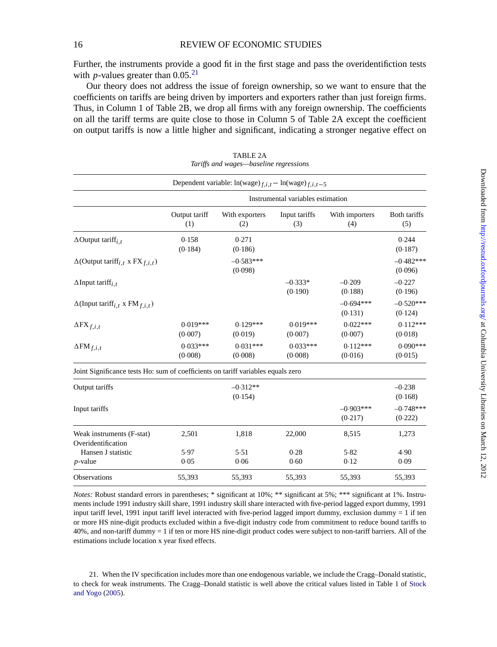Further, the instruments provide a good fit in the first stage and pass the overidentifiction tests with *p*-values greater than  $0.05^{21}$ 

Our theory does not address the issue of foreign ownership, so we want to ensure that the coefficients on tariffs are being driven by importers and exporters rather than just foreign firms. Thus, in Column 1 of Table 2B, we drop all firms with any foreign ownership. The coefficients on all the tariff terms are quite close to those in Column 5 of Table 2A except the coefficient on output tariffs is now a little higher and significant, indicating a stronger negative effect on

|                                                                                  |                       | Dependent variable: $ln(wage)_{f,i,t} - ln(wage)_{f,i,t-5}$ |                                   |                        |                        |
|----------------------------------------------------------------------------------|-----------------------|-------------------------------------------------------------|-----------------------------------|------------------------|------------------------|
|                                                                                  |                       |                                                             | Instrumental variables estimation |                        |                        |
|                                                                                  | Output tariff<br>(1)  | With exporters<br>(2)                                       | Input tariffs<br>(3)              | With importers<br>(4)  | Both tariffs<br>(5)    |
| $\Delta$ Output tariff <sub>i.t</sub>                                            | 0.158<br>(0.184)      | 0.271<br>(0.186)                                            |                                   |                        | 0.244<br>(0.187)       |
| $\Delta$ (Output tariff <sub>i,t</sub> x FX $_{f,i,t}$ )                         |                       | $-0.583***$<br>(0.098)                                      |                                   |                        | $-0.482***$<br>(0.096) |
| $\Delta$ Input tariff <sub>i.t</sub>                                             |                       |                                                             | $-0.333*$<br>(0.190)              | $-0.209$<br>(0.188)    | $-0.227$<br>(0.196)    |
| $\Delta$ (Input tariff <sub>i,t</sub> x FM <sub>f,i,t</sub> )                    |                       |                                                             |                                   | $-0.694***$<br>(0.131) | $-0.520***$<br>(0.124) |
| $\Delta$ FX $_{f,i,t}$                                                           | $0.019***$<br>(0.007) | $0.129***$<br>(0.019)                                       | $0.019***$<br>(0.007)             | $0.022***$<br>(0.007)  | $0.112***$<br>(0.018)  |
| $\Delta FM_{f,i,t}$                                                              | $0.033***$<br>(0.008) | $0.031***$<br>(0.008)                                       | $0.033***$<br>(0.008)             | $0.112***$<br>(0.016)  | $0.090***$<br>(0.015)  |
| Joint Significance tests Ho: sum of coefficients on tariff variables equals zero |                       |                                                             |                                   |                        |                        |
| Output tariffs                                                                   |                       | $-0.312**$<br>(0.154)                                       |                                   |                        | $-0.238$<br>(0.168)    |
| Input tariffs                                                                    |                       |                                                             |                                   | $-0.903***$<br>(0.217) | $-0.748***$<br>(0.222) |
| Weak instruments (F-stat)<br>Overidentification                                  | 2,501                 | 1,818                                                       | 22,000                            | 8,515                  | 1,273                  |
| Hansen J statistic<br>$p$ -value                                                 | 5.97<br>0.05          | 5.51<br>0.06                                                | 0.28<br>0.60                      | 5.82<br>0.12           | 4.90<br>0.09           |
| Observations                                                                     | 55,393                | 55,393                                                      | 55,393                            | 55,393                 | 55,393                 |

TABLE 2A *Tariffs and wages—baseline regressions*

*Notes:* Robust standard errors in parentheses; \* significant at 10%; \*\* significant at 5%; \*\*\* significant at 1%. Instruments include 1991 industry skill share, 1991 industry skill share interacted with five-period lagged export dummy, 1991 input tariff level, 1991 input tariff level interacted with five-period lagged import dummy, exclusion dummy = 1 if ten or more HS nine-digit products excluded within a five-digit industry code from commitment to reduce bound tariffs to 40%, and non-tariff dummy = 1 if ten or more HS nine-digit product codes were subject to non-tariff barriers. All of the estimations include location x year fixed effects.

21. When the IV specification includes more than one endogenous variable, we include the Cragg–Donald statistic, to check for weak instruments. The Cragg–Donald statistic is well above the critical values listed in Table 1 of [Stock](#page-35-0) [and Yogo](#page-35-0) [\(2005](#page-35-0)).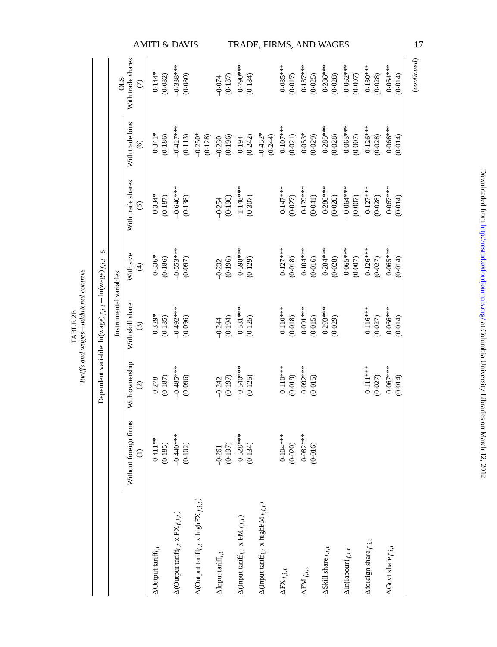|                                                               |                        |                                             | <b>AMITI &amp; DAVIS</b>              |                                                                    |                                                                            |                                |                                                               | TRADE, FIRMS, AND WAGES                                                   |                            |                            |                                 |                                     |                          |                                | 17          |
|---------------------------------------------------------------|------------------------|---------------------------------------------|---------------------------------------|--------------------------------------------------------------------|----------------------------------------------------------------------------|--------------------------------|---------------------------------------------------------------|---------------------------------------------------------------------------|----------------------------|----------------------------|---------------------------------|-------------------------------------|--------------------------|--------------------------------|-------------|
|                                                               | STO                    | With trade shares<br>$\widehat{\in}$        | $0.144*$<br>(0.082)                   | $-0.338***$<br>(0.080)                                             |                                                                            | (0.137)<br>$-0.074$            | $-0.790$<br>(0.184)                                           |                                                                           | $0.085***$<br>(0.017)      | $0.137***$<br>(0.025)      | $0.286***$<br>(0.028)           | $-0.062$ ***<br>(0.007)             | $0.130***$<br>(0.028)    | $0.064***$<br>(0.014)          | (continued) |
|                                                               |                        | With trade bins<br>$\widehat{\mathbf{e}}$   | $0.341*$<br>(0.186)                   | $-0.427$ ***<br>(0.113)                                            | $-0.250*$<br>(0.128)                                                       | (0.196)<br>$-0.230$            | (0.242)<br>$-0.194$                                           | $-0.452*$<br>(0.244)                                                      | $0.107***$<br>(0.021)      | $0.053*$<br>(0.029)        | $0.285***$<br>(0.028)           | $-0.065***$<br>(0.007)              | $0.126***$<br>(0.028)    | $0.066***$<br>(0.014)          |             |
|                                                               |                        | With trade shares<br>$\widehat{c}$          | $0.334*$<br>(0.187)                   | $-0.646***$<br>(0.138)                                             |                                                                            | (0.196)<br>$-0.254$            | $-1.148***$<br>(0.307)                                        |                                                                           | $0.147***$<br>(0.027)      | $0.179***$<br>(0.041)      | $0.286***$<br>(0.028)           | $-0.061$ ***<br>(0.007)             | $0.127***$<br>(0.028)    | $0.067***$<br>(0.014)          |             |
|                                                               |                        | With size<br>E                              | $0.336*$<br>(0.186)                   | $-0.553***$<br>(0.097)                                             |                                                                            | (0.196)<br>$-0.232$            | $-0.598***$<br>(0.129)                                        |                                                                           | $0.127***$<br>(0.018)      | $0.104***$<br>(0.016)      | $0.284***$<br>(0.028)           | $-0.065***$<br>$(0.007)$            | $0.126***$<br>(0.027)    | $0.065***$<br>(0.014)          |             |
| Dependent variable: $\ln(wage)_{f,i,t} - \ln(wage)_{f,i,t-5}$ | Instrumental variables | With skill share<br>$\widehat{\mathcal{E}}$ | $0.329*$<br>(0.185)                   | $-0.492***$<br>(0.096)                                             |                                                                            | $-0.244$<br>(0.194)            | $-0.531***$<br>(0.125)                                        |                                                                           | $0.110***$<br>(0.018)      | $0.091***$<br>(0.015)      | $0.293***$<br>(0.029)           |                                     | $0.116***$<br>$(0.027)$  | $0.066***$<br>(0.014)          |             |
|                                                               |                        | With ownership<br>$\widehat{c}$             | (0.187)<br>0.278                      | $-0.485***$<br>(0.096)                                             |                                                                            | (0.197)<br>$-0.242$            | $-0.540$<br>(0.125)                                           |                                                                           | $0.110***$<br>(0.019)      | $0.092***$<br>(0.015)      |                                 |                                     | $0.111***$<br>(0.027)    | $0.067***$<br>(0.014)          |             |
|                                                               |                        | Without foreign firms<br>$\ominus$          | $0.411***$<br>(0.185)                 | $-0.440***$<br>(0.102)                                             |                                                                            | (0.197)<br>$-0.261$            | $-0.528***$<br>(0.134)                                        |                                                                           | $0.104***$<br>(0.020)      | $0.082***$<br>(0.016)      |                                 |                                     |                          |                                |             |
|                                                               |                        |                                             | $\Delta$ Output tariff <sub>i,t</sub> | $\Delta(\mbox{Output } \mbox{tariff}_{i,t} \ge \mbox{FX}_{f,i,t})$ | $\Delta(\mbox{Output } \mbox{tarif} f_{i,t} \times \mbox{highFX}_{f,i,t})$ | $\Delta$ Input tariff $_{i,t}$ | $\Delta$ (Input tariff <sub>i,t</sub> x FM <sub>f,i,t</sub> ) | $\Delta(\text{Input } \text{tariff}_{i,t} \times \text{higherM}_{f,i,t})$ | $\Delta \text{FX}_{f,i,t}$ | $\Delta \text{FM}_{f,i,t}$ | $\Delta$ Skill share $_{f,i,t}$ | $\Delta \ln(\mbox{labour})_{f,i,t}$ | Aforeign share $f, i, t$ | $\Delta$ Govt share $_{f,i,t}$ |             |

Tariffs and wages-additional controls *Tariffs and wages—additional controls* TABLE 2B

Downloaded from http://restud.oxfordjournals.org/ at Columbia University Libraries on March 12, 2012 Downloaded from <http://restud.oxfordjournals.org/> at Columbia University Libraries on March 12, 2012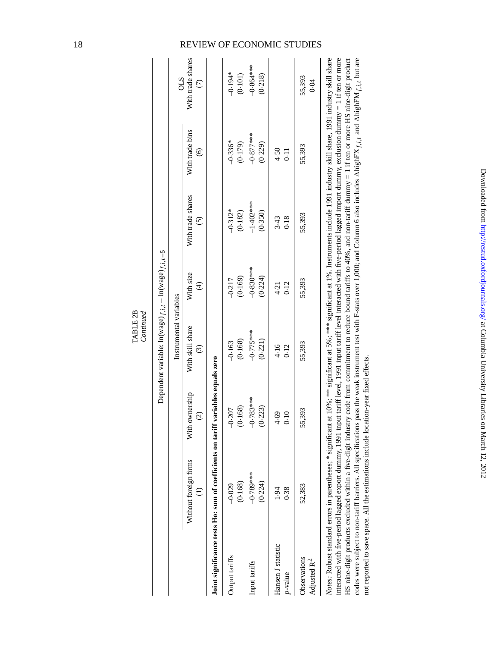|                                         |                                                                                                                                                                                                                                                                                                                                                                                                                                                                                                                                                                                                                                                                                 |                                 | Dependent variable: $\ln(wage)_{f,i,t} - \ln(wage)_{f,i,t-5}$<br>Continued |                                      |                                                                                                                                          |                                           |                                    |
|-----------------------------------------|---------------------------------------------------------------------------------------------------------------------------------------------------------------------------------------------------------------------------------------------------------------------------------------------------------------------------------------------------------------------------------------------------------------------------------------------------------------------------------------------------------------------------------------------------------------------------------------------------------------------------------------------------------------------------------|---------------------------------|----------------------------------------------------------------------------|--------------------------------------|------------------------------------------------------------------------------------------------------------------------------------------|-------------------------------------------|------------------------------------|
|                                         |                                                                                                                                                                                                                                                                                                                                                                                                                                                                                                                                                                                                                                                                                 |                                 | Instrumental variables                                                     |                                      |                                                                                                                                          |                                           | <b>CTO</b>                         |
|                                         | Without foreign firms                                                                                                                                                                                                                                                                                                                                                                                                                                                                                                                                                                                                                                                           | With ownership<br>$\widehat{c}$ | With skill share<br>$\odot$                                                | With size<br>$\widehat{\mathcal{F}}$ | With trade shares<br>$\widehat{c}$                                                                                                       | With trade bins<br>$\widehat{\mathbf{e}}$ | With trade shares<br>$\widehat{c}$ |
|                                         | Joint significance tests Ho: sum of coefficients on tariff variables equals zero                                                                                                                                                                                                                                                                                                                                                                                                                                                                                                                                                                                                |                                 |                                                                            |                                      |                                                                                                                                          |                                           |                                    |
| Output tariffs                          | (0.168)<br>$-0.029$                                                                                                                                                                                                                                                                                                                                                                                                                                                                                                                                                                                                                                                             | (0.168)<br>$-0.207$             | (0.168)<br>$-0.163$                                                        | (0.169)<br>$-0.217$                  | $-0.312*$<br>(0.182)                                                                                                                     | $-0.336*$<br>(0.179)                      | $-0.194*$<br>(0.101)               |
| Input tariffs                           | $-0.789***$<br>(0.224)                                                                                                                                                                                                                                                                                                                                                                                                                                                                                                                                                                                                                                                          | $-0.783***$<br>(0.223)          | $-0.775***$<br>(0.221)                                                     | $-0.830***$<br>(0.224)               | $-1.402**$<br>(0.350)                                                                                                                    | $-0.877***$<br>(0.229)                    | $-0.864**$<br>(0.218)              |
| Hansen J statistic<br>$p$ -value        | 1.94<br>0.38                                                                                                                                                                                                                                                                                                                                                                                                                                                                                                                                                                                                                                                                    | 4.69<br>0.10                    | 4.16<br>0.12                                                               | 0.12<br>4.21                         | 3.43<br>0.18                                                                                                                             | 4.50<br>$\overline{11}$                   |                                    |
| Observations<br>Adjusted R <sup>2</sup> | 52,383                                                                                                                                                                                                                                                                                                                                                                                                                                                                                                                                                                                                                                                                          | 55,393                          | 55,393                                                                     | 55,393                               | 55,393                                                                                                                                   | 55,393                                    | 55,393<br>0.04                     |
| HS nine-digit products excluded within  | Notes: Robust standard errors in parentheses; * significant at 10%; ** significant at 5%; *** significant at 1%. Instruments include 1991 industry skill share, 1991 industry skill share<br>interacted with five-period lagged export dumny, 1991 input tariff level, 1991 input tariff level interacted with five-period lagged import dumny, exclusion dummy = 1 if ten or more<br>codes were subject to non-tariff barriers. All specifications pass the weak instrument test with F-stats over 1,000; and Column 6 also includes AhighFX $_{f,i,f}$ and AhighFM $_{f,i,f}$ but are<br>not reported to save space. All the estimations include location-year fixed effects. |                                 |                                                                            |                                      | a five-digit industry code from commitment to reduce bound tariffs to 40%, and non-tariff dummy = 1 if ten or more HS nine-digit product |                                           |                                    |

## 18 REVIEW OF ECONOMIC STUDIES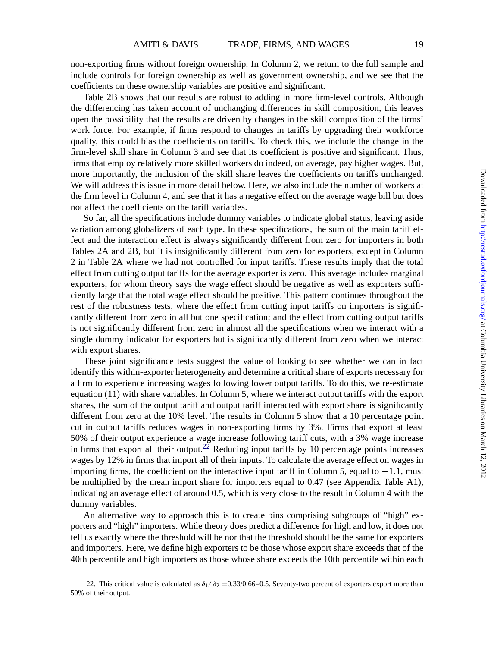non-exporting firms without foreign ownership. In Column 2, we return to the full sample and include controls for foreign ownership as well as government ownership, and we see that the coefficients on these ownership variables are positive and significant.

Table 2B shows that our results are robust to adding in more firm-level controls. Although the differencing has taken account of unchanging differences in skill composition, this leaves open the possibility that the results are driven by changes in the skill composition of the firms' work force. For example, if firms respond to changes in tariffs by upgrading their workforce quality, this could bias the coefficients on tariffs. To check this, we include the change in the firm-level skill share in Column 3 and see that its coefficient is positive and significant. Thus, firms that employ relatively more skilled workers do indeed, on average, pay higher wages. But, more importantly, the inclusion of the skill share leaves the coefficients on tariffs unchanged. We will address this issue in more detail below. Here, we also include the number of workers at the firm level in Column 4, and see that it has a negative effect on the average wage bill but does not affect the coefficients on the tariff variables.

So far, all the specifications include dummy variables to indicate global status, leaving aside variation among globalizers of each type. In these specifications, the sum of the main tariff effect and the interaction effect is always significantly different from zero for importers in both Tables 2A and 2B, but it is insignificantly different from zero for exporters, except in Column 2 in Table 2A where we had not controlled for input tariffs. These results imply that the total effect from cutting output tariffs for the average exporter is zero. This average includes marginal exporters, for whom theory says the wage effect should be negative as well as exporters sufficiently large that the total wage effect should be positive. This pattern continues throughout the rest of the robustness tests, where the effect from cutting input tariffs on importers is significantly different from zero in all but one specification; and the effect from cutting output tariffs is not significantly different from zero in almost all the specifications when we interact with a single dummy indicator for exporters but is significantly different from zero when we interact with export shares.

These joint significance tests suggest the value of looking to see whether we can in fact identify this within-exporter heterogeneity and determine a critical share of exports necessary for a firm to experience increasing wages following lower output tariffs. To do this, we re-estimate equation (11) with share variables. In Column 5, where we interact output tariffs with the export shares, the sum of the output tariff and output tariff interacted with export share is significantly different from zero at the 10% level. The results in Column 5 show that a 10 percentage point cut in output tariffs reduces wages in non-exporting firms by 3%. Firms that export at least 50% of their output experience a wage increase following tariff cuts, with a 3% wage increase in firms that export all their output.<sup>22</sup> Reducing input tariffs by 10 percentage points increases wages by 12% in firms that import all of their inputs. To calculate the average effect on wages in importing firms, the coefficient on the interactive input tariff in Column 5, equal to  $-1.1$ , must be multiplied by the mean import share for importers equal to 0.47 (see Appendix Table A1), indicating an average effect of around 0.5, which is very close to the result in Column 4 with the dummy variables.

An alternative way to approach this is to create bins comprising subgroups of "high" exporters and "high" importers. While theory does predict a difference for high and low, it does not tell us exactly where the threshold will be nor that the threshold should be the same for exporters and importers. Here, we define high exporters to be those whose export share exceeds that of the 40th percentile and high importers as those whose share exceeds the 10th percentile within each

<sup>22.</sup> This critical value is calculated as  $\delta_1/\delta_2$  =0.33/0.66=0.5. Seventy-two percent of exporters export more than 50% of their output.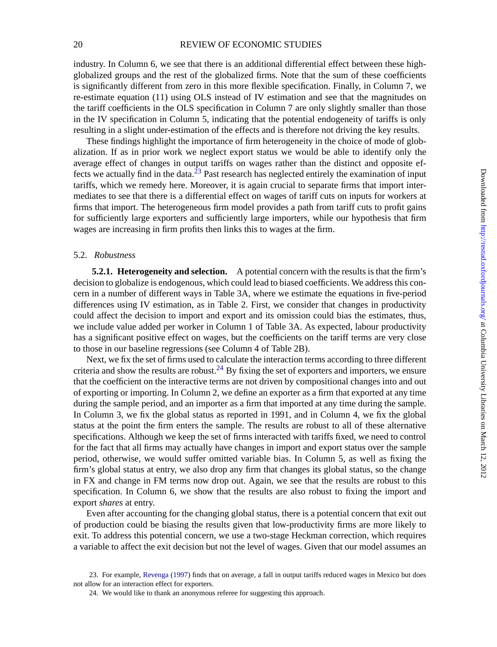#### 20 REVIEW OF ECONOMIC STUDIES

industry. In Column 6, we see that there is an additional differential effect between these highglobalized groups and the rest of the globalized firms. Note that the sum of these coefficients is significantly different from zero in this more flexible specification. Finally, in Column 7, we re-estimate equation (11) using OLS instead of IV estimation and see that the magnitudes on the tariff coefficients in the OLS specification in Column 7 are only slightly smaller than those in the IV specification in Column 5, indicating that the potential endogeneity of tariffs is only resulting in a slight under-estimation of the effects and is therefore not driving the key results.

These findings highlight the importance of firm heterogeneity in the choice of mode of globalization. If as in prior work we neglect export status we would be able to identify only the average effect of changes in output tariffs on wages rather than the distinct and opposite effects we actually find in the data.<sup>23</sup> Past research has neglected entirely the examination of input tariffs, which we remedy here. Moreover, it is again crucial to separate firms that import intermediates to see that there is a differential effect on wages of tariff cuts on inputs for workers at firms that import. The heterogeneous firm model provides a path from tariff cuts to profit gains for sufficiently large exporters and sufficiently large importers, while our hypothesis that firm wages are increasing in firm profits then links this to wages at the firm.

#### 5.2. *Robustness*

**5.2.1. Heterogeneity and selection.** A potential concern with the results is that the firm's decision to globalize is endogenous, which could lead to biased coefficients. We address this concern in a number of different ways in Table 3A, where we estimate the equations in five-period differences using IV estimation, as in Table 2. First, we consider that changes in productivity could affect the decision to import and export and its omission could bias the estimates, thus, we include value added per worker in Column 1 of Table 3A. As expected, labour productivity has a significant positive effect on wages, but the coefficients on the tariff terms are very close to those in our baseline regressions (see Column 4 of Table 2B).

Next, we fix the set of firms used to calculate the interaction terms according to three different criteria and show the results are robust. $^{24}$  By fixing the set of exporters and importers, we ensure that the coefficient on the interactive terms are not driven by compositional changes into and out of exporting or importing. In Column 2, we define an exporter as a firm that exported at any time during the sample period, and an importer as a firm that imported at any time during the sample. In Column 3, we fix the global status as reported in 1991, and in Column 4, we fix the global status at the point the firm enters the sample. The results are robust to all of these alternative specifications. Although we keep the set of firms interacted with tariffs fixed, we need to control for the fact that all firms may actually have changes in import and export status over the sample period, otherwise, we would suffer omitted variable bias. In Column 5, as well as fixing the firm's global status at entry, we also drop any firm that changes its global status, so the change in FX and change in FM terms now drop out. Again, we see that the results are robust to this specification. In Column 6, we show that the results are also robust to fixing the import and export *shares* at entry.

Even after accounting for the changing global status, there is a potential concern that exit out of production could be biasing the results given that low-productivity firms are more likely to exit. To address this potential concern, we use a two-stage Heckman correction, which requires a variable to affect the exit decision but not the level of wages. Given that our model assumes an

<sup>23.</sup> For example, [Revenga](#page-35-0) ([1997\)](#page-35-0) finds that on average, a fall in output tariffs reduced wages in Mexico but does not allow for an interaction effect for exporters.

<sup>24.</sup> We would like to thank an anonymous referee for suggesting this approach.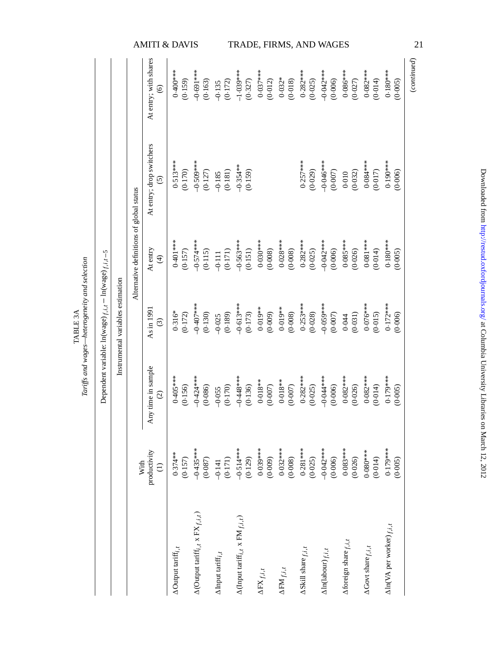|                                                               |                                   |                                          | AMITI & DAVIS<br>At entry; with shares<br>$\widehat{\circ}$ | $0.400***$<br>(0.159)                 | $-0.691$ ***<br>(0.163)                                  | (0.172)<br>$-0.135$                                   | $-1.039***$<br>(0.327)                                            | $0.037***$<br>(0.012)      | $0.032*$<br>(0.018)        | TRADE, FIRMS, AND WAGES<br>$0.282***$<br>(0.025) | $+8$<br>(0.006)                      | $0.086***$<br>(0.027)    | $0.082***$<br>(0.014)          | $0.180***$<br>(0.005)                                |
|---------------------------------------------------------------|-----------------------------------|------------------------------------------|-------------------------------------------------------------|---------------------------------------|----------------------------------------------------------|-------------------------------------------------------|-------------------------------------------------------------------|----------------------------|----------------------------|--------------------------------------------------|--------------------------------------|--------------------------|--------------------------------|------------------------------------------------------|
|                                                               |                                   |                                          | At entry; drop switchers<br>$\widehat{c}$                   | $0.513***$<br>(0.170)                 | $-0.500.5$<br>(0.127)                                    | (0.181)<br>$-0.185$                                   | $-0.354**$<br>(0.159)                                             |                            |                            | $0.257***$<br>(0.029)                            | $-0.046***$<br>(0.007)               | (0.032)<br>0.010         | $0.084***$<br>(0.017)          | $0.190***$<br>(0.006)                                |
|                                                               |                                   | Alternative definitions of global status | At entry<br>$\widehat{\mathcal{F}}$                         | $0.401***$<br>(0.157)                 | $-0.574***$<br>(0.115)                                   | (0.171)<br>$-0.111$                                   | $-0.563***$<br>(0.151)                                            | $0.030***$<br>(0.008)      | $0.028***$<br>(0.008)      | $0.282***$<br>(0.025)                            | $-0.042$<br>(0.006)                  | $0.085***$<br>(0.026)    | $0.081***$<br>(0.014)          | $0.180***$<br>(0.005)                                |
| Dependent variable: $\ln(wage)_{f,i,t} - \ln(wage)_{f,i,t-5}$ | Instrumental variables estimation |                                          | As in $199$<br>$\odot$                                      | $0.316*$<br>(0.172)                   | $-0.407$ ***<br>(0.130)                                  | (0.189)<br>$-0.025$                                   | $-0.613***$<br>(0.173)                                            | $0.019**$<br>(0.009)       | $0.019**$<br>(0.008)       | $0.253***$<br>(0.028)                            | $-0.050$<br>(0.007)                  | (0.031)<br>0.044         | $0.076***$<br>(0.015)          | $0.172***$<br>(0.006)                                |
|                                                               |                                   |                                          | Any time in sample<br>$\odot$                               | $0.405***$<br>(0.156)                 | $-0.424***$<br>(0.086)                                   | (0.170)<br>$-0.055$                                   | $-0.448***$<br>(0.136)                                            | $0.018**$<br>(0.007)       | $0.018**$<br>(0.007)       | $0.282***$<br>(0.025)                            | $-0.044**$<br>(0.006)                | $0.082***$<br>(0.026)    | $0.082***$<br>(0.014)          | $0.179***$<br>(0.005)                                |
|                                                               |                                   | With                                     | productivity<br>$\widehat{\Xi}$                             | $0.374**$<br>(0.157)                  | $-0.435***$<br>(0.087)                                   | $-0.141$<br>(0.171)                                   | $-0.514***$<br>(0.129)                                            | $0.039***$<br>(0.009)      | $0.032***$<br>(0.008)      | $0.281***$<br>(0.025)                            | $-0.042***$<br>(0.006)               | $0.083***$<br>(0.026)    | $0.080***$<br>(0.014)          | $0.179***$<br>(0.005)                                |
|                                                               |                                   |                                          |                                                             | $\Delta$ Output tariff <sub>i,t</sub> | $\Delta$ (Output tariff <sub>i,t</sub> x FX $_{f,i,t}$ ) | $\Delta\,\mathrm{Input}\,\,\mathrm{tar\,iff}_{i,\,t}$ | $\Delta(\text{Input } \text{tariff}_{i,t} \ge \text{FM}_{f,i,t})$ | $\Delta \text{FX}_{f,i,t}$ | $\Delta \text{FM}_{f,i,t}$ | $\Delta$ Skill share $_{f,i,t}$                  | $\Delta \ln (\mbox{labour})_{f,i,t}$ | Aforeign share $f, i, t$ | $\Delta$ Govt share $_{f,i,t}$ | $\Delta \ln(\text{VA} \text{ per worker})_{f, i, t}$ |

Tariffs and wages-heterogeneity and selection *Tariffs and wages—heterogeneity and selection* TABLE 3A TABLE 3A

Downloaded from http://restud.oxfordjournals.org/ at Columbia University Libraries on March 12, 2012 Downloaded from <http://restud.oxfordjournals.org/> at Columbia University Libraries on March 12, 2012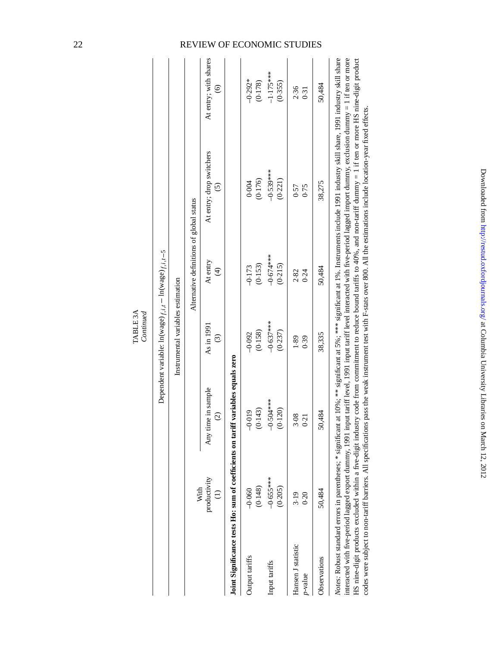|                                           |              |                                           | TABLE 3A<br>Continued                                         |                                          |                                                                                                                                                                                                                                                                                                                                          |                                         |
|-------------------------------------------|--------------|-------------------------------------------|---------------------------------------------------------------|------------------------------------------|------------------------------------------------------------------------------------------------------------------------------------------------------------------------------------------------------------------------------------------------------------------------------------------------------------------------------------------|-----------------------------------------|
|                                           |              |                                           | Dependent variable: $\ln(wage)_{f,i,t} - \ln(wage)_{f,i,t-5}$ |                                          |                                                                                                                                                                                                                                                                                                                                          |                                         |
|                                           |              |                                           | Instrumental variables estimation                             |                                          |                                                                                                                                                                                                                                                                                                                                          |                                         |
|                                           | With         |                                           |                                                               | Alternative definitions of global status |                                                                                                                                                                                                                                                                                                                                          |                                         |
|                                           | productivity | Any time in sample<br>$\widehat{c}$       | As in 1991<br>$\odot$                                         | At entry<br>$\widehat{\mathcal{F}}$      | At entry; drop switchers<br>$\widehat{c}$                                                                                                                                                                                                                                                                                                | At entry; with shares<br>$\circledcirc$ |
| Joint Significance tests Ho: sum of coef  |              | fficients on tariff variables equals zero |                                                               |                                          |                                                                                                                                                                                                                                                                                                                                          |                                         |
| Output tariffs                            | $-0.060$     | $-0.019$                                  | $-0.092$                                                      | $-0.173$                                 | 0.004                                                                                                                                                                                                                                                                                                                                    | $-0.292*$                               |
|                                           | (0.148)      | (0.143)                                   | (0.158)                                                       | (0.153)                                  | (0.176)                                                                                                                                                                                                                                                                                                                                  | (0.178)                                 |
| Input tariffs                             | $-0.655***$  | $-0.504***$                               | $-0.637***$                                                   | $-0.674***$                              | $-0.539***$                                                                                                                                                                                                                                                                                                                              | $-1.175***$                             |
|                                           | (0.205)      | (0.120)                                   | (0.237)                                                       | (0.215)                                  | (0.221)                                                                                                                                                                                                                                                                                                                                  | (0.355)                                 |
| Hansen J statistic                        | 3.19         | 3.08                                      | 1.89                                                          | 2.82                                     | 0.57                                                                                                                                                                                                                                                                                                                                     | 2.36                                    |
| p-value                                   | 0.20         | 0.21                                      | 0.39                                                          | 0.24                                     | 0.75                                                                                                                                                                                                                                                                                                                                     | 0.31                                    |
| Observations                              | 50,484       | 50,484                                    | 38,335                                                        | 50,484                                   | 38,275                                                                                                                                                                                                                                                                                                                                   | 50,484                                  |
| interacted with five-period lagged export |              |                                           |                                                               |                                          | Notes: Robust standard errors in parentheses; * significant at 10%; ** significant at 5%; *** significant at 1%. Instruments include 1991 industry skill share, 1991 industry skill share<br>dummy, 1991 input tariff level, 1991 input tariff level interacted with five-period lagged import dummy, exclusion dummy = 1 if ten or more |                                         |

HS nine-digit products excluded within a five-digit industry code from commitment to reduce bound tariffs to 40%, and non-tariff dummy = 1 if ten or more HS nine-digit product HS nine-digit products excluded within a five-digit industry code from commitment to reduce bound tariffs to 40%, and non-tariff dummy = 1 if ten or more HS nine-digit product codes were subject to non-tariff barriers. All specifications pass the weak instrument test with F-stats over 800. All the estimations include location-year fixed effects. codes were subject to non-tariff barriers. All specifications pass the weak instrument test with F-stats over 800. All the estimations include location-year fixed effects.

## 22 REVIEW OF ECONOMIC STUDIES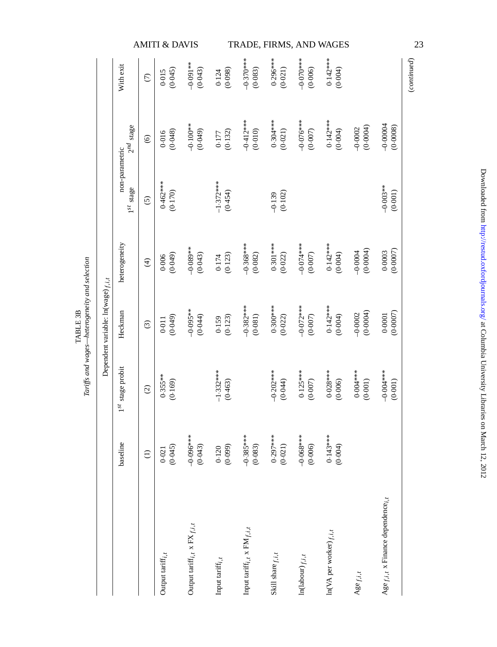|                                        |                                  |               | <b>AMITI &amp; DAVIS</b> |                                                     |                                    |                                                         |                        |                         | TRADE, FIRMS, AND WAGES                     |                       |                                         | 23          |
|----------------------------------------|----------------------------------|---------------|--------------------------|-----------------------------------------------------|------------------------------------|---------------------------------------------------------|------------------------|-------------------------|---------------------------------------------|-----------------------|-----------------------------------------|-------------|
|                                        | With exit                        | $\widehat{C}$ | (0.045)<br>0.015         | $-0.091***$<br>(0.043)                              | (0.098)<br>0.124                   | $-0.370$ **<br>(0.083)                                  | $0.296***$<br>(0.021)  | (0.006)                 | $0.142***$<br>(0.004)                       |                       |                                         | (continued) |
|                                        | $2^{nd}$ stage                   | $\odot$       | (0.048)<br>0.016         | $-0.100**$<br>(0.049)                               | (0.132)<br>$0.177$                 | $-0.412***$<br>(0.010)                                  | $0.304***$<br>(0.021)  | $-0.000$<br>(0.007)     | $0.142***$<br>(0.004)                       | (0.0004)<br>$-0.0002$ | $-0.00004$<br>(0.0008)                  |             |
|                                        | non-parametric<br>$1^{st}$ stage | $\odot$       | $0.462***$<br>(0.170)    |                                                     | $-1.372***$<br>(0.454)             |                                                         | (0.102)<br>$-0.139$    |                         |                                             |                       | $-0.003**$<br>(0.001)                   |             |
|                                        | heterogeneity                    | $\widehat{f}$ | (0.049)<br>0.006         | $-0.089**$<br>(0.043)                               | (0.123)<br>0.174                   | $-0.368***$<br>(0.082)                                  | $0.301***$<br>(0.022)  | $+$<br>(0.007)          | $0.142***$<br>(0.004)                       | (0.0004)<br>$-0.0004$ | (0.0007)<br>0.0003                      |             |
| Dependent variable: $ln(wage)_{f,i,t}$ | Heckman                          | $\odot$       | (0.049)<br>0.011         | $-0.095**$<br>(0.044)                               | (0.123)<br>0.159                   | $-0.382***$<br>(0.081)                                  | $0.300***$<br>(0.022)  | $-0.072$ ***<br>(0.007) | $0.142***$<br>(0.004)                       | (0.0004)<br>$-0.0002$ | (0.0007)<br>0.0001                      |             |
|                                        | $1^{st}$ stage probit            | $\odot$       | $0.355***$<br>(0.169)    |                                                     | $-1.332***$<br>(0.463)             |                                                         | $-0.202***$<br>(0.044) | $0.125***$<br>(0.007)   | $0.028***$<br>(0.006)                       | $0.004***$<br>(0.001) | $-0.001$ **<br>(0.001)                  |             |
|                                        | baseline                         | $\ominus$     | (0.045)<br>0.021         | $-0.000 - 0.00$<br>(0.043)                          | (0.099)<br>0.120                   | $-0.385***$<br>(0.083)                                  | $0.297***$<br>(0.021)  | $-0.068***$<br>(0.006)  | $0.143***$<br>(0.004)                       |                       |                                         |             |
|                                        |                                  |               | Output tariff $_{i,t}$   | Output tariff <sub>i, t</sub> x $\text{FX}_{f,i,t}$ | Input tariff; $\boldsymbol{f}_{t}$ | Input tariff; , $\boldsymbol{\mathsf{x}}$ FM $_{f,i,t}$ | Skill share $f, i, t$  | $ln(labour)_{f,i,t}$    | $\ln(\text{VA} \text{ per worker})_{f,i,t}$ | Age $f, i, t$         | Age $f, i, t$ x Finance dependence; $t$ |             |

TABLE 3B *Tariffs and wages—heterogeneity and selection*

TABLE 3B<br>Tariffs and wages—heterogeneity and selection

Downloaded from http://restud.oxfordjournals.org/ at Columbia University Libraries on March 12, 2012 Downloaded from <http://restud.oxfordjournals.org/> at Columbia University Libraries on March 12, 2012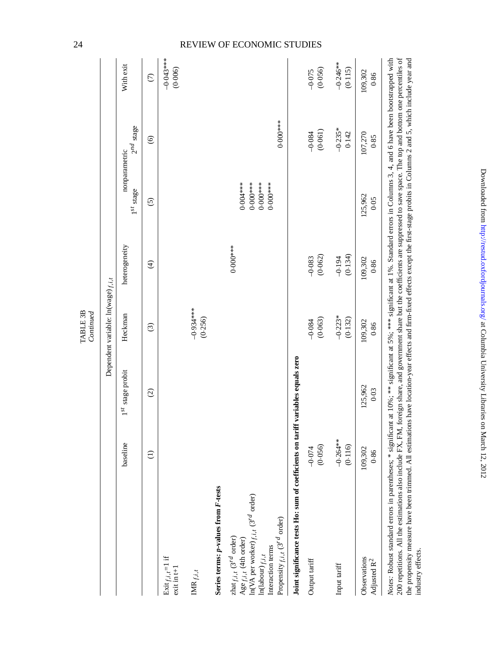|                                                                                                                                                                                                                                                                                                                                                                                          |                        |                       | TABLE 3B<br>Continued                  |                     |                                                  |                                 |                        |
|------------------------------------------------------------------------------------------------------------------------------------------------------------------------------------------------------------------------------------------------------------------------------------------------------------------------------------------------------------------------------------------|------------------------|-----------------------|----------------------------------------|---------------------|--------------------------------------------------|---------------------------------|------------------------|
|                                                                                                                                                                                                                                                                                                                                                                                          |                        |                       | Dependent variable: $ln(wage)_{f,i,t}$ |                     |                                                  |                                 |                        |
|                                                                                                                                                                                                                                                                                                                                                                                          | baseline               | $1^{st}$ stage probit | Heckman                                | heterogeneity       | $1^{st}$ stage                                   | $2^{nd}$ stage<br>nonparametric | With exit              |
|                                                                                                                                                                                                                                                                                                                                                                                          | $\ominus$              | $\odot$               | $\widehat{c}$                          | $\bigoplus$         | $\overline{6}$                                   | $\odot$                         | $\widehat{C}$          |
| Exit $f, i, i = 1$ if<br>$exit in t+1$                                                                                                                                                                                                                                                                                                                                                   |                        |                       |                                        |                     |                                                  |                                 | $-0.043***$<br>(0.006) |
| $\text{IMR}_{f,i,t}$                                                                                                                                                                                                                                                                                                                                                                     |                        |                       | $-0.934***$<br>(0.256)                 |                     |                                                  |                                 |                        |
| Series terms: p-values from F-tests                                                                                                                                                                                                                                                                                                                                                      |                        |                       |                                        |                     |                                                  |                                 |                        |
| $\ln(\text{VA} \text{ per worker})_{f, i, t}$ (3 <sup>rd</sup> order)<br>$\mathrm{zhat}_{f,i,t}$ $(3^{rd}$ order)<br>$\mathsf{Age}_{f,i,t}$ (4th order)<br>Interaction terms<br>$\ln(\mbox{labour})_{f,i,t}$                                                                                                                                                                             |                        |                       |                                        | $0.000***$          | $0.004***$<br>$0.000**$<br>$0.000**$<br>$0.000*$ |                                 |                        |
| Propensity $f, i, t$ (3 <sup>rd</sup> order)                                                                                                                                                                                                                                                                                                                                             |                        |                       |                                        |                     |                                                  | $0.000**$                       |                        |
| Joint significance tests Ho: sum of coefficients on tariff variables equals zero                                                                                                                                                                                                                                                                                                         |                        |                       |                                        |                     |                                                  |                                 |                        |
| Output tariff                                                                                                                                                                                                                                                                                                                                                                            | (0.056)<br>$-0.074$    |                       | (0.063)<br>$-0.084$                    | (0.062)<br>$-0.083$ |                                                  | (0.061)<br>$-0.084$             | (0.056)<br>$-0.075$    |
| Input tariff                                                                                                                                                                                                                                                                                                                                                                             | $-0.264***$<br>(0.116) |                       | $-0.223*$<br>(0.132)                   | (0.134)<br>$-0.194$ |                                                  | $-0.235*$<br>0.142              | $-0.246***$<br>(0.115) |
| Observations<br>Adjusted R <sup>2</sup>                                                                                                                                                                                                                                                                                                                                                  | 109,302<br>0.86        | 125,962<br>0.03       | 109,302<br>0.86                        | 109,302<br>0.86     | 125,962<br>0.05                                  | 107,270<br>0.85                 | 109,302<br>0.86        |
| 200 repetitions $\Delta \parallel$ the estimations also include FX FM foreign share and covernment share hurthe coefficients are suppressed to save space. The top and bottom one perceptiles of<br>Notes: Robust standard errors in parentheses; * significant at 10%; *** significant at 5%; *** significant at 1%. Standard errors in Columns 3, 4, and 6 have been bootstrapped with |                        |                       |                                        |                     |                                                  |                                 |                        |

Arrese Arrese Summan extra-series the particular and the series of the series of the series and firm-fixed effects except the first-stage probits in Columns 2 and 5, which include year and industry effects.<br>The propensity 200 repetitions. All the estimations also include FX, FM, foreign share, and government share but the coefficients are suppressed to save space. The top and bottom one percentiles of the propensity measure have been trimmed. All estimations have location-year effects and firm-fixed effects except the first-stage probits in Columns 2 and 5, which include year and industry effects.

Downloaded from <http://restud.oxfordjournals.org/> at Columbia University Libraries on March 12, 2012

Downloaded from http://restud.oxfordjournals.org/ at Columbia University Libraries on March 12, 2012

## 24 REVIEW OF ECONOMIC STUDIES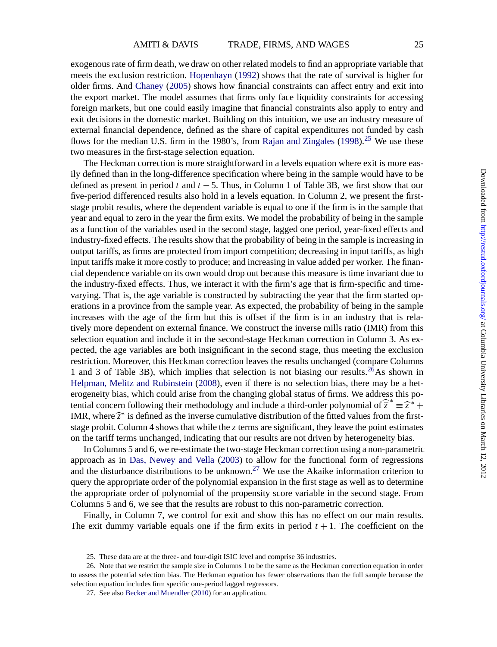exogenous rate of firm death, we draw on other related models to find an appropriate variable that meets the exclusion restriction. [Hopenhayn](#page-35-0) ([1992](#page-35-0)) shows that the rate of survival is higher for older firms. And [Chaney](#page-34-0) ([2005](#page-34-0)) shows how financial constraints can affect entry and exit into the export market. The model assumes that firms only face liquidity constraints for accessing foreign markets, but one could easily imagine that financial constraints also apply to entry and exit decisions in the domestic market. Building on this intuition, we use an industry measure of external financial dependence, defined as the share of capital expenditures not funded by cash flows for the median U.S. firm in the 1980's, from [Rajan and Zingales](#page-35-0)  $(1998)^{25}$  $(1998)^{25}$  We use these two measures in the first-stage selection equation.

The Heckman correction is more straightforward in a levels equation where exit is more easily defined than in the long-difference specification where being in the sample would have to be defined as present in period *t* and *t* −5. Thus, in Column 1 of Table 3B, we first show that our five-period differenced results also hold in a levels equation. In Column 2, we present the firststage probit results, where the dependent variable is equal to one if the firm is in the sample that year and equal to zero in the year the firm exits. We model the probability of being in the sample as a function of the variables used in the second stage, lagged one period, year-fixed effects and industry-fixed effects. The results show that the probability of being in the sample is increasing in output tariffs, as firms are protected from import competition; decreasing in input tariffs, as high input tariffs make it more costly to produce; and increasing in value added per worker. The financial dependence variable on its own would drop out because this measure is time invariant due to the industry-fixed effects. Thus, we interact it with the firm's age that is firm-specific and timevarying. That is, the age variable is constructed by subtracting the year that the firm started operations in a province from the sample year. As expected, the probability of being in the sample increases with the age of the firm but this is offset if the firm is in an industry that is relatively more dependent on external finance. We construct the inverse mills ratio (IMR) from this selection equation and include it in the second-stage Heckman correction in Column 3. As expected, the age variables are both insignificant in the second stage, thus meeting the exclusion restriction. Moreover, this Heckman correction leaves the results unchanged (compare Columns 1 and 3 of Table 3B), which implies that selection is not biasing our results. <sup>26</sup>As shown in [Helpman, Melitz and Rubinstein](#page-35-0) [\(2008\)](#page-35-0), even if there is no selection bias, there may be a heterogeneity bias, which could arise from the changing global status of firms. We address this potential concern following their methodology and include a third-order polynomial of  $\hat{\overline{z}}^* = \hat{\overline{z}}^* +$ IMR, where  $\hat{z}^*$  is defined as the inverse cumulative distribution of the fitted values from the firststage probit. Column 4 shows that while the *z* terms are significant, they leave the point estimates on the tariff terms unchanged, indicating that our results are not driven by heterogeneity bias.

In Columns 5 and 6, we re-estimate the two-stage Heckman correction using a non-parametric approach as in [Das, Newey and Vella](#page-34-0) [\(2003](#page-34-0)) to allow for the functional form of regressions and the disturbance distributions to be unknown.<sup>27</sup> We use the Akaike information criterion to query the appropriate order of the polynomial expansion in the first stage as well as to determine the appropriate order of polynomial of the propensity score variable in the second stage. From Columns 5 and 6, we see that the results are robust to this non-parametric correction.

Finally, in Column 7, we control for exit and show this has no effect on our main results. The exit dummy variable equals one if the firm exits in period  $t + 1$ . The coefficient on the

<sup>25.</sup> These data are at the three- and four-digit ISIC level and comprise 36 industries.

<sup>26.</sup> Note that we restrict the sample size in Columns 1 to be the same as the Heckman correction equation in order to assess the potential selection bias. The Heckman equation has fewer observations than the full sample because the selection equation includes firm specific one-period lagged regressors.

<sup>27.</sup> See also [Becker and Muendler](#page-34-0) [\(2010\)](#page-34-0) for an application.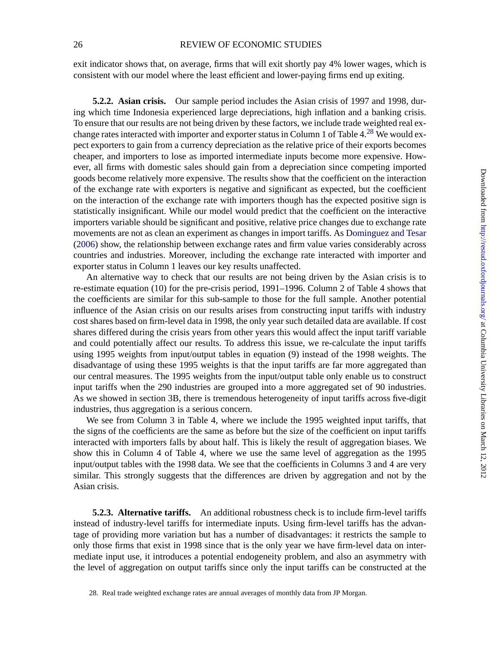#### 26 REVIEW OF ECONOMIC STUDIES

exit indicator shows that, on average, firms that will exit shortly pay 4% lower wages, which is consistent with our model where the least efficient and lower-paying firms end up exiting.

**5.2.2. Asian crisis.** Our sample period includes the Asian crisis of 1997 and 1998, during which time Indonesia experienced large depreciations, high inflation and a banking crisis. To ensure that our results are not being driven by these factors, we include trade weighted real exchange rates interacted with importer and exporter status in Column 1 of Table  $4.^{28}$  We would expect exporters to gain from a currency depreciation as the relative price of their exports becomes cheaper, and importers to lose as imported intermediate inputs become more expensive. However, all firms with domestic sales should gain from a depreciation since competing imported goods become relatively more expensive. The results show that the coefficient on the interaction of the exchange rate with exporters is negative and significant as expected, but the coefficient on the interaction of the exchange rate with importers though has the expected positive sign is statistically insignificant. While our model would predict that the coefficient on the interactive importers variable should be significant and positive, relative price changes due to exchange rate movements are not as clean an experiment as changes in import tariffs. As [Dominguez and Tesar](#page-34-0) [\(2006](#page-34-0)) show, the relationship between exchange rates and firm value varies considerably across countries and industries. Moreover, including the exchange rate interacted with importer and exporter status in Column 1 leaves our key results unaffected.

An alternative way to check that our results are not being driven by the Asian crisis is to re-estimate equation (10) for the pre-crisis period, 1991–1996. Column 2 of Table 4 shows that the coefficients are similar for this sub-sample to those for the full sample. Another potential influence of the Asian crisis on our results arises from constructing input tariffs with industry cost shares based on firm-level data in 1998, the only year such detailed data are available. If cost shares differed during the crisis years from other years this would affect the input tariff variable and could potentially affect our results. To address this issue, we re-calculate the input tariffs using 1995 weights from input/output tables in equation (9) instead of the 1998 weights. The disadvantage of using these 1995 weights is that the input tariffs are far more aggregated than our central measures. The 1995 weights from the input/output table only enable us to construct input tariffs when the 290 industries are grouped into a more aggregated set of 90 industries. As we showed in section 3B, there is tremendous heterogeneity of input tariffs across five-digit industries, thus aggregation is a serious concern.

We see from Column 3 in Table 4, where we include the 1995 weighted input tariffs, that the signs of the coefficients are the same as before but the size of the coefficient on input tariffs interacted with importers falls by about half. This is likely the result of aggregation biases. We show this in Column 4 of Table 4, where we use the same level of aggregation as the 1995 input/output tables with the 1998 data. We see that the coefficients in Columns 3 and 4 are very similar. This strongly suggests that the differences are driven by aggregation and not by the Asian crisis.

**5.2.3. Alternative tariffs.** An additional robustness check is to include firm-level tariffs instead of industry-level tariffs for intermediate inputs. Using firm-level tariffs has the advantage of providing more variation but has a number of disadvantages: it restricts the sample to only those firms that exist in 1998 since that is the only year we have firm-level data on intermediate input use, it introduces a potential endogeneity problem, and also an asymmetry with the level of aggregation on output tariffs since only the input tariffs can be constructed at the

<sup>28.</sup> Real trade weighted exchange rates are annual averages of monthly data from JP Morgan.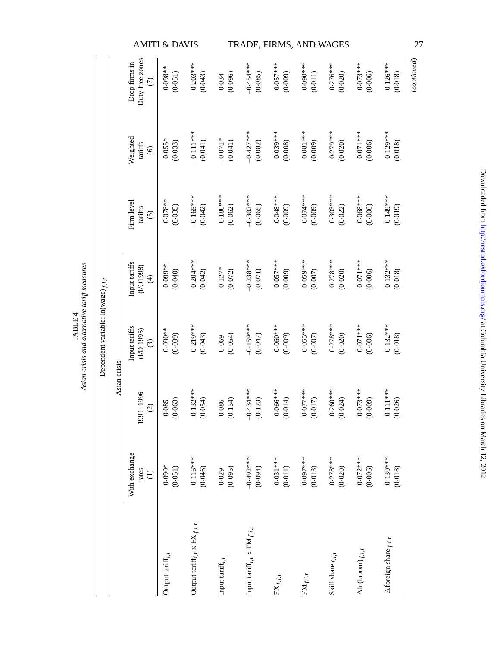|                                        |              |                                                   | <b>AMITI &amp; DAVIS</b> |                                              |                       |                                   |                       | TRADE, FIRMS, AND WAGES |                       |                                    |                                | 27          |
|----------------------------------------|--------------|---------------------------------------------------|--------------------------|----------------------------------------------|-----------------------|-----------------------------------|-----------------------|-------------------------|-----------------------|------------------------------------|--------------------------------|-------------|
|                                        |              | Duty-free zones<br>Drop firms in<br>$\widehat{C}$ | $0.098**$<br>(0.051)     | $-0.203$ **<br>(0.043)                       | (0.096)<br>$-0.034$   | $-0.454***$<br>(0.085)            | $0.057***$<br>(0.009) | $0.090***$<br>(0.011)   | $0.276***$<br>(0.020) | $0.073***$<br>(0.006)              | $0.126***$<br>(0.018)          | (continued) |
|                                        |              | Weighted<br>tariffs<br>$\odot$                    | $0.055*$<br>(0.033)      | $-0.111***$<br>(0.041)                       | $-0.071*$<br>(0.041)  | $-0.427$ ***<br>(0.082)           | $0.039***$<br>(0.008) | $0.081***$<br>(0.009)   | $0.279***$<br>(0.020) | $0.071***$<br>(0.006)              | $0.129***$<br>(0.018)          |             |
|                                        |              | Firm level<br>tariffs<br>$\odot$                  | $0.078**$<br>(0.035)     | $-0.165***$<br>(0.042)                       | $0.180***$<br>(0.062) | $-0.302***$<br>(0.065)            | $0.048***$<br>(0.009) | $0.074***$<br>(0.009)   | $0.303***$<br>(0.022) | $0.068***$<br>(0.006)              | $0.149***$<br>(0.019)          |             |
|                                        |              | Input tariffs<br>(1/01998)<br>E                   | $0.099**$<br>(0.040)     | $-0.204***$<br>(0.042)                       | $-0.127*$<br>(0.072)  | $-0.238***$<br>(0.071)            | $0.057***$<br>(0.009) | $0.059***$<br>(0.007)   | $0.278***$<br>(0.020) | $0.071***$<br>(0.006)              | $0.132***$<br>(0.018)          |             |
| Dependent variable: $ln(wage)_{f,i,t}$ |              | Input tariffs<br>(1/O1995)<br>$\odot$             | $0.090**$<br>(0.039)     | $-0.219$ **<br>(0.043)                       | (0.054)<br>$-0.069$   | $-0.159***$<br>(0.047)            | $0.060***$<br>(0.009) | $0.055***$<br>(0.007)   | $0.278***$<br>(0.020) | $0.071***$<br>(0.006)              | $0.132***$<br>(0.018)          |             |
|                                        | Asian crisis | 1991-1996<br>$\widehat{c}$                        | (0.063)<br>0.085         | $-0.132**$<br>(0.054)                        | (0.154)<br>0.086      | $-0.434***$<br>(0.123)            | $0.066***$<br>(0.014) | $0.077***$<br>(0.017)   | $0.260***$<br>(0.024) | $0.073***$<br>(0.009)              | $0.111***$<br>(0.026)          |             |
|                                        |              | With exchange<br>rates<br>$\widehat{\Xi}$         | $0.090*$<br>(0.051)      | $-0.116***$<br>(0.046)                       | (0.095)<br>$-0.029$   | $-0.492$ ***<br>(10.094)          | $0.031***$<br>(0.011) | $0.097***$<br>(0.013)   | $0.278***$<br>(0.020) | $0.072***$<br>(0.006)              | $0.130***$<br>(0.018)          |             |
|                                        |              |                                                   | Output tariff; $t$ , $t$ | Output tariff $_{i,t}$ x $\text{FX}_{f,i,t}$ | Input tariff; $t$     | Input tariff; $t$ x FM $_{f,i,t}$ | $\text{FX}_{f,i,t}$   | $\mathrm{FM}_{f,i,t}$   | Skill share $f,i,t$   | $\Delta\ln(\mbox{labour})_{f,i,t}$ | $\Delta$ foreign share $f,i,t$ |             |

TABLE 4<br>Asian crisis and alternative tariff measures *Asian crisis and alternative tariff measures* TABLE 4

Downloaded from http://restud.oxfordjournals.org/ at Columbia University Libraries on March 12, 2012 Downloaded from <http://restud.oxfordjournals.org/> at Columbia University Libraries on March 12, 2012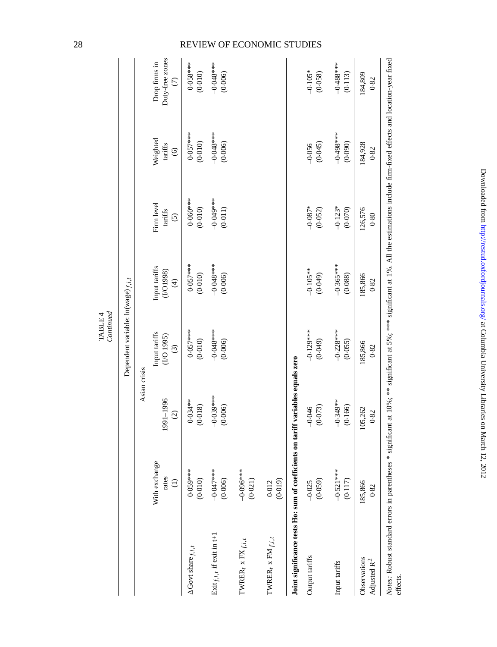|                                                                                                                                                                                        |                                     |                            | Dependent variable: $ln(wage)_{f,i,t}$<br>Continued |                                           |                                  |                                       |                                                |
|----------------------------------------------------------------------------------------------------------------------------------------------------------------------------------------|-------------------------------------|----------------------------|-----------------------------------------------------|-------------------------------------------|----------------------------------|---------------------------------------|------------------------------------------------|
|                                                                                                                                                                                        |                                     | Asian crisis               |                                                     |                                           |                                  |                                       |                                                |
|                                                                                                                                                                                        | With exchange<br>rates<br>$\ominus$ | 1991-1996<br>$\widehat{c}$ | Input tariffs<br>(1/O 1995)<br>$\odot$              | Input tariffs<br>(1/01998)<br>$\bigoplus$ | Firm level<br>tariffs<br>$\odot$ | Weighted<br>tariffs<br>$\circledcirc$ | Duty-free zones<br>Drop firms in<br>$\epsilon$ |
| $\Delta$ Govt share $f, i, t$                                                                                                                                                          | $0.059***$<br>(0.010)               | $0.034**$<br>(0.018)       | $0.057***$<br>(0.010)                               | $0.057***$<br>(0.010)                     | $0.060***$<br>(0.010)            | $0.057***$<br>(0.010)                 | $0.058***$<br>(0.010)                          |
| Exit $f, i, t$ if exit in t+1                                                                                                                                                          | $-0.01$<br>(0.006)                  | $-0.030$<br>(0.006)        | $-0.048***$<br>(0.006)                              | $-0.048$ ***<br>(0.006)                   | $* * * 60000$<br>(0.011)         | $-0.048***$<br>(0.006)                | $-0.048***$<br>(0.006)                         |
| $\text{TWER}_t$ x $\text{FX}_{f,i,t}$                                                                                                                                                  | $-0.096***$<br>(0.021)              |                            |                                                     |                                           |                                  |                                       |                                                |
| $\text{TWRER}_t$ x $\text{FM}_{f,i,t}$                                                                                                                                                 | (0.019)<br>0.012                    |                            |                                                     |                                           |                                  |                                       |                                                |
| Joint significance tests Ho: sum of coefficients on tariff variables equals zero                                                                                                       |                                     |                            |                                                     |                                           |                                  |                                       |                                                |
| Output tariffs                                                                                                                                                                         | (0.059)<br>$-0.025$                 | (0.073)<br>$-0.046$        | $-0.129***$<br>(0.049)                              | $-0.105**$<br>$(6 + 0.0)$                 | $-0.087*$<br>(0.052)             | (0.045)<br>$-0.056$                   | $-0.105*$<br>(0.058)                           |
| Input tariffs                                                                                                                                                                          | $-0.521$ **<br>(0.117)              | $-0.349**$<br>(0.166)      | $-0.228***$<br>(0.055)                              | $-0.365***$<br>(0.088)                    | $-0.123*$<br>(0.070)             | $-0.498***$<br>(0.090)                | $-0.488***$<br>(0.113)                         |
| Observations<br>Adjusted R <sup>2</sup>                                                                                                                                                | 185,866<br>0.82                     | 105,262<br>0.82            | 185,866<br>0.82                                     | 185,866<br>0.82                           | 126,576<br>0.80                  | 184,928<br>0.82                       | 184,809<br>0.82                                |
| Notes: Robust standard errors in parentheses * significant at 10%; ** significant at 5%; *** significant at 1%. All the estimations include firm-fixed effects and location-year fixed |                                     |                            |                                                     |                                           |                                  |                                       |                                                |

effects.

Downloaded from http://restud.oxfordjournals.org/ at Columbia University Libraries on March 12, 2012 Downloaded from <http://restud.oxfordjournals.org/> at Columbia University Libraries on March 12, 2012

TABLE 4 *Continued*

## 28 REVIEW OF ECONOMIC STUDIES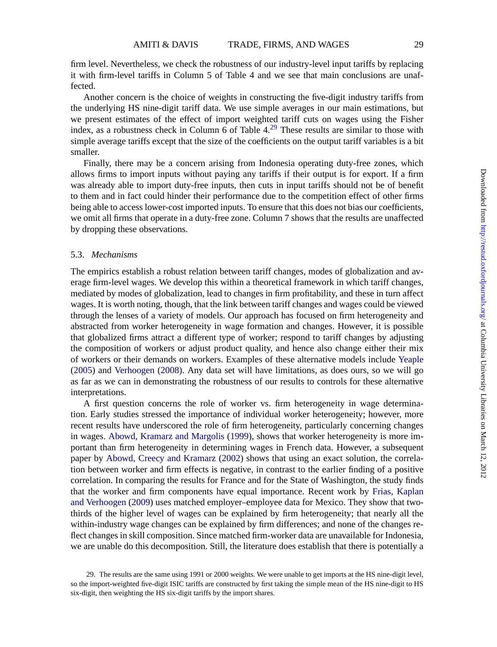firm level. Nevertheless, we check the robustness of our industry-level input tariffs by replacing it with firm-level tariffs in Column 5 of Table 4 and we see that main conclusions are unaffected.

Another concern is the choice of weights in constructing the five-digit industry tariffs from the underlying HS nine-digit tariff data. We use simple averages in our main estimations, but we present estimates of the effect of import weighted tariff cuts on wages using the Fisher index, as a robustness check in Column 6 of Table  $4<sup>29</sup>$  These results are similar to those with simple average tariffs except that the size of the coefficients on the output tariff variables is a bit smaller.

Finally, there may be a concern arising from Indonesia operating duty-free zones, which allows firms to import inputs without paying any tariffs if their output is for export. If a firm was already able to import duty-free inputs, then cuts in input tariffs should not be of benefit to them and in fact could hinder their performance due to the competition effect of other firms being able to access lower-cost imported inputs. To ensure that this does not bias our coefficients, we omit all firms that operate in a duty-free zone. Column 7 shows that the results are unaffected by dropping these observations.

#### 5.3. *Mechanisms*

The empirics establish a robust relation between tariff changes, modes of globalization and average firm-level wages. We develop this within a theoretical framework in which tariff changes, mediated by modes of globalization, lead to changes in firm profitability, and these in turn affect wages. It is worth noting, though, that the link between tariff changes and wages could be viewed through the lenses of a variety of models. Our approach has focused on firm heterogeneity and abstracted from worker heterogeneity in wage formation and changes. However, it is possible that globalized firms attract a different type of worker; respond to tariff changes by adjusting the composition of workers or adjust product quality, and hence also change either their mix of workers or their demands on workers. Examples of these alternative models include [Yeaple](#page-35-0) [\(2005](#page-35-0)) and [Verhoogen](#page-35-0) [\(2008](#page-35-0)). Any data set will have limitations, as does ours, so we will go as far as we can in demonstrating the robustness of our results to controls for these alternative interpretations.

A first question concerns the role of worker vs. firm heterogeneity in wage determination. Early studies stressed the importance of individual worker heterogeneity; however, more recent results have underscored the role of firm heterogeneity, particularly concerning changes in wages. [Abowd, Kramarz and Margolis](#page-34-0) [\(1999](#page-34-0)), shows that worker heterogeneity is more important than firm heterogeneity in determining wages in French data. However, a subsequent paper by [Abowd, Creecy and Kramarz](#page-34-0) [\(2002](#page-34-0)) shows that using an exact solution, the correlation between worker and firm effects is negative, in contrast to the earlier finding of a positive correlation. In comparing the results for France and for the State of Washington, the study finds that the worker and firm components have equal importance. Recent work by [Frias, Kaplan](#page-35-0) [and Verhoogen](#page-35-0) ([2009\)](#page-35-0) uses matched employer–employee data for Mexico. They show that twothirds of the higher level of wages can be explained by firm heterogeneity; that nearly all the within-industry wage changes can be explained by firm differences; and none of the changes reflect changes in skill composition. Since matched firm-worker data are unavailable for Indonesia, we are unable do this decomposition. Still, the literature does establish that there is potentially a

<sup>29.</sup> The results are the same using 1991 or 2000 weights. We were unable to get imports at the HS nine-digit level, so the import-weighted five-digit ISIC tariffs are constructed by first taking the simple mean of the HS nine-digit to HS six-digit, then weighting the HS six-digit tariffs by the import shares.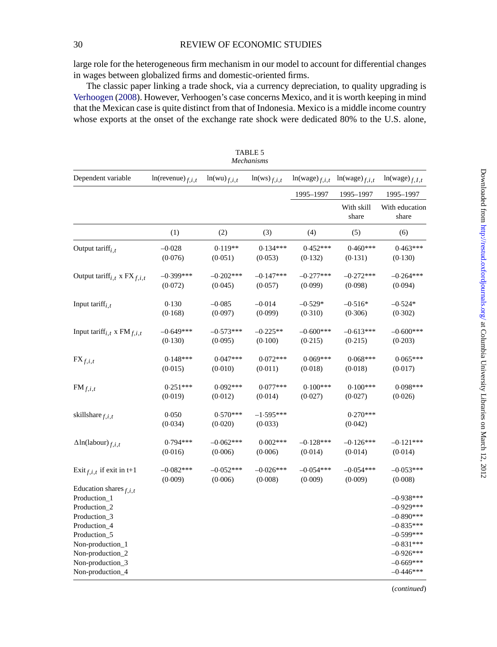large role for the heterogeneous firm mechanism in our model to account for differential changes in wages between globalized firms and domestic-oriented firms.

The classic paper linking a trade shock, via a currency depreciation, to quality upgrading is [Verhoogen](#page-35-0) ([2008\)](#page-35-0). However, Verhoogen's case concerns Mexico, and it is worth keeping in mind that the Mexican case is quite distinct from that of Indonesia. Mexico is a middle income country whose exports at the onset of the exchange rate shock were dedicated 80% to the U.S. alone,

|                                                                                                                                                                                              | Mechanisms            |                       |                        |                    |                       |                                                                                                                                     |  |
|----------------------------------------------------------------------------------------------------------------------------------------------------------------------------------------------|-----------------------|-----------------------|------------------------|--------------------|-----------------------|-------------------------------------------------------------------------------------------------------------------------------------|--|
| Dependent variable                                                                                                                                                                           | $ln(revenue)_{f,i,t}$ | $ln(wu)_{f.i.t.}$     | $ln(ws)_{f,i,t}$       | $ln(wage)_{f,i,t}$ | $ln(wage)_{f,i,t}$    | $ln(wage)_{f, I, t}$                                                                                                                |  |
|                                                                                                                                                                                              |                       |                       |                        | 1995-1997          | 1995-1997             | 1995-1997                                                                                                                           |  |
|                                                                                                                                                                                              |                       |                       |                        |                    | With skill<br>share   | With education<br>share                                                                                                             |  |
|                                                                                                                                                                                              | (1)                   | (2)                   | (3)                    | (4)                | (5)                   | (6)                                                                                                                                 |  |
| Output tariff $_{i,t}$                                                                                                                                                                       | $-0.028$              | $0.119**$             | $0.134***$             | $0.452***$         | $0.460***$            | $0.463***$                                                                                                                          |  |
|                                                                                                                                                                                              | (0.076)               | (0.051)               | (0.053)                | (0.132)            | (0.131)               | (0.130)                                                                                                                             |  |
| Output tariff <sub>i,t</sub> x $FX_{f,i,t}$                                                                                                                                                  | $-0.399***$           | $-0.202***$           | $-0.147***$            | $-0.277***$        | $-0.272***$           | $-0.264***$                                                                                                                         |  |
|                                                                                                                                                                                              | (0.072)               | (0.045)               | (0.057)                | (0.099)            | (0.098)               | (0.094)                                                                                                                             |  |
| Input tariff $_{i,t}$                                                                                                                                                                        | 0.130                 | $-0.085$              | $-0.014$               | $-0.529*$          | $-0.516*$             | $-0.524*$                                                                                                                           |  |
|                                                                                                                                                                                              | (0.168)               | (0.097)               | (0.099)                | (0.310)            | (0.306)               | (0.302)                                                                                                                             |  |
| Input tariff <sub>i,t</sub> x $FM_{f,i,t}$                                                                                                                                                   | $-0.649***$           | $-0.573***$           | $-0.225**$             | $-0.600***$        | $-0.613***$           | $-0.600***$                                                                                                                         |  |
|                                                                                                                                                                                              | (0.130)               | (0.095)               | (0.100)                | (0.215)            | (0.215)               | (0.203)                                                                                                                             |  |
| $\mathbf{FX}_{f,i,t}$                                                                                                                                                                        | $0.148***$            | $0.047***$            | $0.072***$             | $0.069***$         | $0.068***$            | $0.065***$                                                                                                                          |  |
|                                                                                                                                                                                              | (0.015)               | (0.010)               | (0.011)                | (0.018)            | (0.018)               | (0.017)                                                                                                                             |  |
| $FM_{f,i,t}$                                                                                                                                                                                 | $0.251***$            | $0.092***$            | $0.077***$             | $0.100***$         | $0.100***$            | $0.098***$                                                                                                                          |  |
|                                                                                                                                                                                              | (0.019)               | (0.012)               | (0.014)                | (0.027)            | (0.027)               | (0.026)                                                                                                                             |  |
| skillshare $f, i, t$                                                                                                                                                                         | 0.050<br>(0.034)      | $0.570***$<br>(0.020) | $-1.595***$<br>(0.033) |                    | $0.270***$<br>(0.042) |                                                                                                                                     |  |
| $\Delta$ ln(labour) $_{f,i,t}$                                                                                                                                                               | $0.794***$            | $-0.062***$           | $0.002***$             | $-0.128***$        | $-0.126***$           | $-0.121***$                                                                                                                         |  |
|                                                                                                                                                                                              | (0.016)               | (0.006)               | (0.006)                | (0.014)            | (0.014)               | (0.014)                                                                                                                             |  |
| Exit $f_{i,i,t}$ if exit in t+1                                                                                                                                                              | $-0.082***$           | $-0.052***$           | $-0.026***$            | $-0.054***$        | $-0.054***$           | $-0.053***$                                                                                                                         |  |
|                                                                                                                                                                                              | (0.009)               | (0.006)               | (0.008)                | (0.009)            | (0.009)               | (0.008)                                                                                                                             |  |
| Education shares $f_{i,i,t}$<br>Production_1<br>Production_2<br>Production_3<br>Production_4<br>Production_5<br>Non-production_1<br>Non-production_2<br>Non-production_3<br>Non-production_4 |                       |                       |                        |                    |                       | $-0.938***$<br>$-0.929***$<br>$-0.890***$<br>$-0.835***$<br>$-0.599***$<br>$-0.831***$<br>$-0.926***$<br>$-0.669***$<br>$-0.446***$ |  |

| TABLE 5    |  |  |
|------------|--|--|
| Mechanism. |  |  |

(*continued*)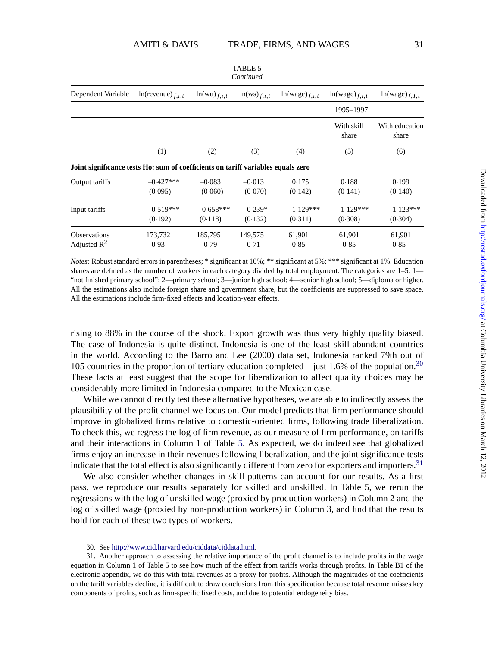| Dependent Variable                                                               | $ln(revenue)_{f,i,t}$  | $ln(wu)_{f,i,t}$       | $ln(ws)_{f,i,t}$     | $ln(wage)_{f,i,t}$     | $ln(wage)_{f,i,t}$     | $ln(wage)_{f, I, t}$    |
|----------------------------------------------------------------------------------|------------------------|------------------------|----------------------|------------------------|------------------------|-------------------------|
|                                                                                  |                        |                        |                      |                        | 1995-1997              |                         |
|                                                                                  |                        |                        |                      |                        | With skill<br>share    | With education<br>share |
|                                                                                  | (1)                    | (2)                    | (3)                  | (4)                    | (5)                    | (6)                     |
| Joint significance tests Ho: sum of coefficients on tariff variables equals zero |                        |                        |                      |                        |                        |                         |
| Output tariffs                                                                   | $-0.427***$<br>(0.095) | $-0.083$<br>(0.060)    | $-0.013$<br>(0.070)  | 0.175<br>(0.142)       | 0.188<br>(0.141)       | 0.199<br>(0.140)        |
| Input tariffs                                                                    | $-0.519***$<br>(0.192) | $-0.658***$<br>(0.118) | $-0.239*$<br>(0.132) | $-1.129***$<br>(0.311) | $-1.129***$<br>(0.308) | $-1.123***$<br>(0.304)  |
| <b>Observations</b><br>Adjusted $R^2$                                            | 173,732<br>0.93        | 185,795<br>0.79        | 149,575<br>0.71      | 61,901<br>0.85         | 61,901<br>0.85         | 61,901<br>0.85          |

*Notes:* Robust standard errors in parentheses; \* significant at 10%; \*\* significant at 5%; \*\*\* significant at 1%. Education shares are defined as the number of workers in each category divided by total employment. The categories are 1–5: 1—

TABLE 5 *Continued*

"not finished primary school"; 2—primary school; 3—junior high school; 4—senior high school; 5—diploma or higher. All the estimations also include foreign share and government share, but the coefficients are suppressed to save space. All the estimations include firm-fixed effects and location-year effects.

rising to 88% in the course of the shock. Export growth was thus very highly quality biased. The case of Indonesia is quite distinct. Indonesia is one of the least skill-abundant countries in the world. According to the Barro and Lee (2000) data set, Indonesia ranked 79th out of 105 countries in the proportion of tertiary education completed—just 1.6% of the population.<sup>30</sup> These facts at least suggest that the scope for liberalization to affect quality choices may be considerably more limited in Indonesia compared to the Mexican case.

While we cannot directly test these alternative hypotheses, we are able to indirectly assess the plausibility of the profit channel we focus on. Our model predicts that firm performance should improve in globalized firms relative to domestic-oriented firms, following trade liberalization. To check this, we regress the log of firm revenue, as our measure of firm performance, on tariffs and their interactions in Column 1 of Table 5. As expected, we do indeed see that globalized firms enjoy an increase in their revenues following liberalization, and the joint significance tests indicate that the total effect is also significantly different from zero for exporters and importers.<sup>31</sup>

We also consider whether changes in skill patterns can account for our results. As a first pass, we reproduce our results separately for skilled and unskilled. In Table 5, we rerun the regressions with the log of unskilled wage (proxied by production workers) in Column 2 and the log of skilled wage (proxied by non-production workers) in Column 3, and find that the results hold for each of these two types of workers.

30. See [http://www.cid.harvard.edu/ciddata/ciddata.html.](http://www.cid.harvard.edu/ciddata/ciddata.html)

31. Another approach to assessing the relative importance of the profit channel is to include profits in the wage equation in Column 1 of Table 5 to see how much of the effect from tariffs works through profits. In Table B1 of the electronic appendix, we do this with total revenues as a proxy for profits. Although the magnitudes of the coefficients on the tariff variables decline, it is difficult to draw conclusions from this specification because total revenue misses key components of profits, such as firm-specific fixed costs, and due to potential endogeneity bias.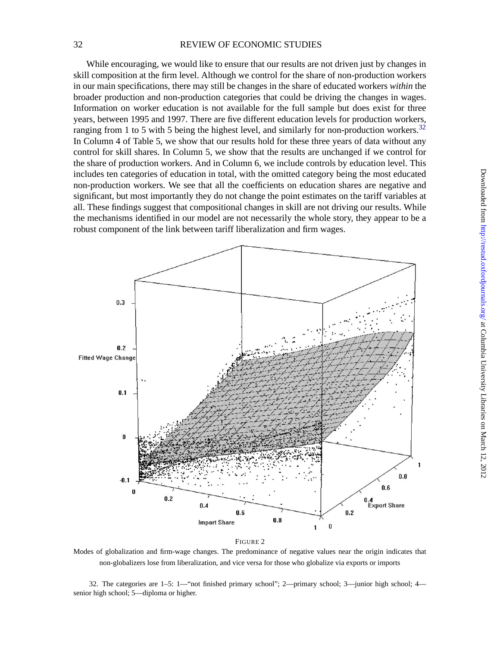### <span id="page-31-0"></span>32 REVIEW OF ECONOMIC STUDIES

While encouraging, we would like to ensure that our results are not driven just by changes in skill composition at the firm level. Although we control for the share of non-production workers in our main specifications, there may still be changes in the share of educated workers *within* the broader production and non-production categories that could be driving the changes in wages. Information on worker education is not available for the full sample but does exist for three years, between 1995 and 1997. There are five different education levels for production workers, ranging from 1 to 5 with 5 being the highest level, and similarly for non-production workers.<sup>32</sup> In Column 4 of Table 5, we show that our results hold for these three years of data without any control for skill shares. In Column 5, we show that the results are unchanged if we control for the share of production workers. And in Column 6, we include controls by education level. This includes ten categories of education in total, with the omitted category being the most educated non-production workers. We see that all the coefficients on education shares are negative and significant, but most importantly they do not change the point estimates on the tariff variables at all. These findings suggest that compositional changes in skill are not driving our results. While the mechanisms identified in our model are not necessarily the whole story, they appear to be a robust component of the link between tariff liberalization and firm wages.



FIGURE 2

Modes of globalization and firm-wage changes. The predominance of negative values near the origin indicates that non-globalizers lose from liberalization, and vice versa for those who globalize via exports or imports

32. The categories are 1–5: 1—"not finished primary school"; 2—primary school; 3—junior high school; 4 senior high school; 5—diploma or higher.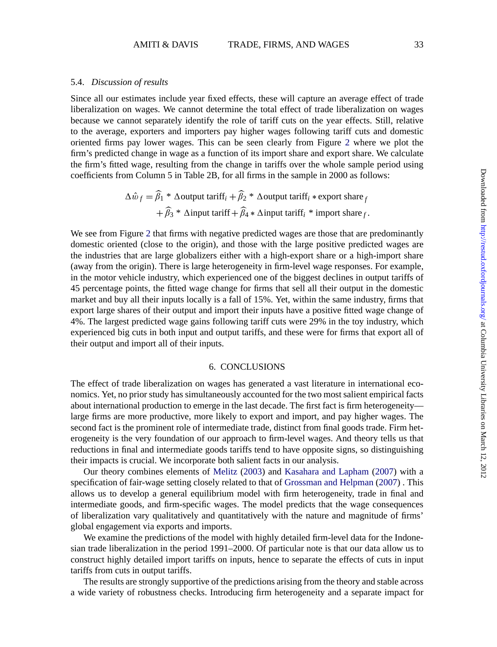#### 5.4. *Discussion of results*

Since all our estimates include year fixed effects, these will capture an average effect of trade liberalization on wages. We cannot determine the total effect of trade liberalization on wages because we cannot separately identify the role of tariff cuts on the year effects. Still, relative to the average, exporters and importers pay higher wages following tariff cuts and domestic oriented firms pay lower wages. This can be seen clearly from Figure [2](#page-31-0) where we plot the firm's predicted change in wage as a function of its import share and export share. We calculate the firm's fitted wage, resulting from the change in tariffs over the whole sample period using coefficients from Column 5 in Table 2B, for all firms in the sample in 2000 as follows:

> $\Delta \hat{w}_f = \beta_1 * \Delta$ output tariff<sub>*i*</sub> +  $\beta_2 * \Delta$ output tariff<sub>*i*</sub> \* export share *f*  $+\beta_3 * \Delta$ input tariff  $+\beta_4 * \Delta$ input tariff<sub>i</sub> \* import share *f*.

We see from Figure [2](#page-31-0) that firms with negative predicted wages are those that are predominantly domestic oriented (close to the origin), and those with the large positive predicted wages are the industries that are large globalizers either with a high-export share or a high-import share (away from the origin). There is large heterogeneity in firm-level wage responses. For example, in the motor vehicle industry, which experienced one of the biggest declines in output tariffs of 45 percentage points, the fitted wage change for firms that sell all their output in the domestic market and buy all their inputs locally is a fall of 15%. Yet, within the same industry, firms that export large shares of their output and import their inputs have a positive fitted wage change of 4%. The largest predicted wage gains following tariff cuts were 29% in the toy industry, which experienced big cuts in both input and output tariffs, and these were for firms that export all of their output and import all of their inputs.

#### 6. CONCLUSIONS

The effect of trade liberalization on wages has generated a vast literature in international economics. Yet, no prior study has simultaneously accounted for the two most salient empirical facts about international production to emerge in the last decade. The first fact is firm heterogeneity large firms are more productive, more likely to export and import, and pay higher wages. The second fact is the prominent role of intermediate trade, distinct from final goods trade. Firm heterogeneity is the very foundation of our approach to firm-level wages. And theory tells us that reductions in final and intermediate goods tariffs tend to have opposite signs, so distinguishing their impacts is crucial. We incorporate both salient facts in our analysis.

Our theory combines elements of [Melitz](#page-35-0) ([2003\)](#page-35-0) and [Kasahara and Lapham](#page-35-0) ([2007\)](#page-35-0) with a specification of fair-wage setting closely related to that of [Grossman and Helpman](#page-35-0) ([2007](#page-35-0)) . This allows us to develop a general equilibrium model with firm heterogeneity, trade in final and intermediate goods, and firm-specific wages. The model predicts that the wage consequences of liberalization vary qualitatively and quantitatively with the nature and magnitude of firms' global engagement via exports and imports.

We examine the predictions of the model with highly detailed firm-level data for the Indonesian trade liberalization in the period 1991–2000. Of particular note is that our data allow us to construct highly detailed import tariffs on inputs, hence to separate the effects of cuts in input tariffs from cuts in output tariffs.

The results are strongly supportive of the predictions arising from the theory and stable across a wide variety of robustness checks. Introducing firm heterogeneity and a separate impact for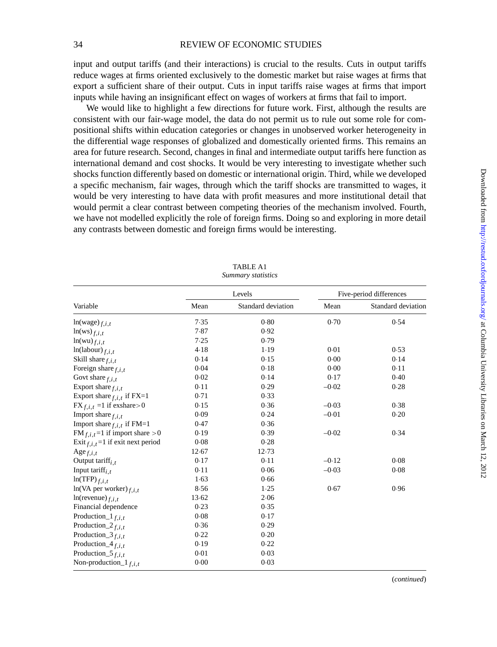input and output tariffs (and their interactions) is crucial to the results. Cuts in output tariffs reduce wages at firms oriented exclusively to the domestic market but raise wages at firms that export a sufficient share of their output. Cuts in input tariffs raise wages at firms that import inputs while having an insignificant effect on wages of workers at firms that fail to import.

We would like to highlight a few directions for future work. First, although the results are consistent with our fair-wage model, the data do not permit us to rule out some role for compositional shifts within education categories or changes in unobserved worker heterogeneity in the differential wage responses of globalized and domestically oriented firms. This remains an area for future research. Second, changes in final and intermediate output tariffs here function as international demand and cost shocks. It would be very interesting to investigate whether such shocks function differently based on domestic or international origin. Third, while we developed a specific mechanism, fair wages, through which the tariff shocks are transmitted to wages, it would be very interesting to have data with profit measures and more institutional detail that would permit a clear contrast between competing theories of the mechanism involved. Fourth, we have not modelled explicitly the role of foreign firms. Doing so and exploring in more detail any contrasts between domestic and foreign firms would be interesting.

|                                              |       | Levels             | Five-period differences |                    |  |
|----------------------------------------------|-------|--------------------|-------------------------|--------------------|--|
| Variable                                     | Mean  | Standard deviation | Mean                    | Standard deviation |  |
| $ln(wage)_{f,i,t}$                           | 7.35  | 0.80               | 0.70                    | 0.54               |  |
| $ln(ws)_{f,i,t}$                             | 7.87  | 0.92               |                         |                    |  |
| $ln(wu)_{f,i,t}$                             | 7.25  | 0.79               |                         |                    |  |
| $ln(labour)_{f,i,t}$                         | 4.18  | 1.19               | 0.01                    | 0.53               |  |
| Skill share $f, i, t$                        | 0.14  | 0.15               | 0.00                    | 0.14               |  |
| Foreign share $f, i, t$                      | 0.04  | 0.18               | 0.00                    | 0.11               |  |
| Govt share $f, i, t$                         | 0.02  | 0.14               | 0.17                    | 0.40               |  |
| Export share $f, i, t$                       | 0.11  | 0.29               | $-0.02$                 | 0.28               |  |
| Export share $f_{i,i,t}$ if FX=1             | 0.71  | 0.33               |                         |                    |  |
| $FX_{f,i,t} = 1$ if exshare > 0              | 0.15  | 0.36               | $-0.03$                 | 0.38               |  |
| Import share $f, i, t$                       | 0.09  | 0.24               | $-0.01$                 | 0.20               |  |
| Import share $f, i, t$ if FM=1               | 0.47  | 0.36               |                         |                    |  |
| FM $_{f,i,t}$ =1 if import share >0          | 0.19  | 0.39               | $-0.02$                 | 0.34               |  |
| Exit $f_{i,i,t}$ =1 if exit next period      | 0.08  | 0.28               |                         |                    |  |
| Age $f, i, t$                                | 12.67 | 12.73              |                         |                    |  |
| Output tariff <sub>i.t</sub>                 | 0.17  | 0.11               | $-0.12$                 | 0.08               |  |
| Input tariff <sub>i.t</sub>                  | 0.11  | 0.06               | $-0.03$                 | 0.08               |  |
| $ln(TFP)_{f,i,t}$                            | 1.63  | 0.66               |                         |                    |  |
| $ln(VA per worker)_{f,i,t}$                  | 8.56  | 1.25               | 0.67                    | 0.96               |  |
| $ln(revenue)_{f,i,t}$                        | 13.62 | 2.06               |                         |                    |  |
| Financial dependence                         | 0.23  | 0.35               |                         |                    |  |
| Production_1 $f_{i,i,t}$                     | 0.08  | 0.17               |                         |                    |  |
| Production <sub><math>2_{f,i,t}</math></sub> | 0.36  | 0.29               |                         |                    |  |
| Production_ $3_{f,i,t}$                      | 0.22  | 0.20               |                         |                    |  |
| Production_ $4_{f,i,t}$                      | 0.19  | 0.22               |                         |                    |  |
| Production_5 $f_{i,i,t}$                     | 0.01  | 0.03               |                         |                    |  |
| Non-production_ $1_{f,i,t}$                  | 0.00  | 0.03               |                         |                    |  |

TABLE A1 *Summary statistics*

(*continued*)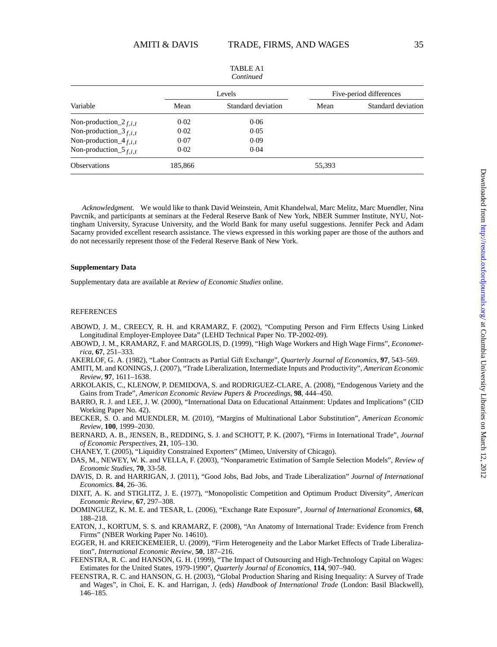<span id="page-34-0"></span>

| Continued                    |         |                    |                         |                    |  |
|------------------------------|---------|--------------------|-------------------------|--------------------|--|
|                              |         | Levels             | Five-period differences |                    |  |
| Variable                     | Mean    | Standard deviation | Mean                    | Standard deviation |  |
| Non-production_2 $f_{i,i,t}$ | 0.02    | 0.06               |                         |                    |  |
| Non-production_ $3_{f,i,t}$  | 0.02    | 0.05               |                         |                    |  |
| Non-production_4 $f_{i,i,t}$ | 0.07    | 0.09               |                         |                    |  |
| Non-production_5 $f_{i,i,t}$ | 0.02    | 0.04               |                         |                    |  |
| <b>Observations</b>          | 185,866 |                    | 55,393                  |                    |  |

TABLE A1

*Acknowledgment.* We would like to thank David Weinstein, Amit Khandelwal, Marc Melitz, Marc Muendler, Nina Pavcnik, and participants at seminars at the Federal Reserve Bank of New York, NBER Summer Institute, NYU, Nottingham University, Syracuse University, and the World Bank for many useful suggestions. Jennifer Peck and Adam Sacarny provided excellent research assistance. The views expressed in this working paper are those of the authors and do not necessarily represent those of the Federal Reserve Bank of New York.

#### **Supplementary Data**

Supplementary data are available at *Review of Economic Studies* online.

#### REFERENCES

- ABOWD, J. M., CREECY, R. H. and KRAMARZ, F. (2002), "Computing Person and Firm Effects Using Linked Longitudinal Employer-Employee Data" (LEHD Technical Paper No. TP-2002-09).
- ABOWD, J. M., KRAMARZ, F. and MARGOLIS, D. (1999), "High Wage Workers and High Wage Firms", *Econometrica*, **67**, 251–333.
- AKERLOF, G. A. (1982), "Labor Contracts as Partial Gift Exchange", *Quarterly Journal of Economics*, **97**, 543–569.
- AMITI, M. and KONINGS, J. (2007), "Trade Liberalization, Intermediate Inputs and Productivity", *American Economic Review*, **97**, 1611–1638.
- ARKOLAKIS, C., KLENOW, P. DEMIDOVA, S. and RODRIGUEZ-CLARE, A. (2008), "Endogenous Variety and the Gains from Trade", *American Economic Review Papers & Proceedings*, **98**, 444–450.
- BARRO, R. J. and LEE, J. W. (2000), "International Data on Educational Attainment: Updates and Implications" (CID Working Paper No. 42).
- BECKER, S. O. and MUENDLER, M. (2010), "Margins of Multinational Labor Substitution", *American Economic Review*, **100**, 1999–2030.
- BERNARD, A. B., JENSEN, B., REDDING, S. J. and SCHOTT, P. K. (2007), "Firms in International Trade", *Journal of Economic Perspectives*, **21**, 105–130.

CHANEY, T. (2005), "Liquidity Constrained Exporters" (Mimeo, University of Chicago).

- DAS, M., NEWEY, W. K. and VELLA, F. (2003), "Nonparametric Estimation of Sample Selection Models", *Review of Economic Studies*, **70**, 33-58.
- DAVIS, D. R. and HARRIGAN, J. (2011), "Good Jobs, Bad Jobs, and Trade Liberalization" *Journal of International Economics*. **84**, 26–36.
- DIXIT, A. K. and STIGLITZ, J. E. (1977), "Monopolistic Competition and Optimum Product Diversity", *American Economic Review*, **67**, 297–308.
- DOMINGUEZ, K. M. E. and TESAR, L. (2006), "Exchange Rate Exposure", *Journal of International Economics*, **68**, 188–218.
- EATON, J., KORTUM, S. S. and KRAMARZ, F. (2008), "An Anatomy of International Trade: Evidence from French Firms" (NBER Working Paper No. 14610).
- EGGER, H. and KREICKEMEIER, U. (2009), "Firm Heterogeneity and the Labor Market Effects of Trade Liberalization", *International Economic Review*, **50**, 187–216.
- FEENSTRA, R. C. and HANSON, G. H. (1999), "The Impact of Outsourcing and High-Technology Capital on Wages: Estimates for the United States, 1979-1990", *Quarterly Journal of Economics*, **114**, 907–940.
- FEENSTRA, R. C. and HANSON, G. H. (2003), "Global Production Sharing and Rising Inequality: A Survey of Trade and Wages", in Choi, E. K. and Harrigan, J. (eds) *Handbook of International Trade* (London: Basil Blackwell), 146–185.